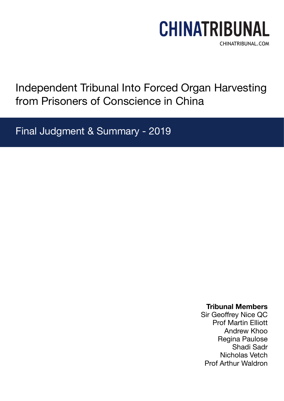# CHINATRIBUNAL CHINATRIBUNAL.COM

Independent Tribunal Into Forced Organ Harvesting from Prisoners of Conscience in China

Final Judgment & Summary - 2019

## **Tribunal Members**

Sir Geoffrey Nice QC Prof Martin Elliott Andrew Khoo Regina Paulose Shadi Sadr Nicholas Vetch Prof Arthur Waldron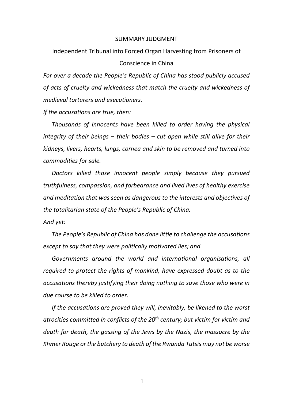#### SUMMARY JUDGMENT

Independent Tribunal into Forced Organ Harvesting from Prisoners of Conscience in China

*For over a decade the People's Republic of China has stood publicly accused of acts of cruelty and wickedness that match the cruelty and wickedness of medieval torturers and executioners.*

*If the accusations are true, then:* 

*Thousands of innocents have been killed to order having the physical integrity of their beings – their bodies – cut open while still alive for their kidneys, livers, hearts, lungs, cornea and skin to be removed and turned into commodities for sale.*

*Doctors killed those innocent people simply because they pursued truthfulness, compassion, and forbearance and lived lives of healthy exercise and meditation that was seen as dangerous to the interests and objectives of the totalitarian state of the People's Republic of China.* 

*And yet:*

*The People's Republic of China has done little to challenge the accusations except to say that they were politically motivated lies; and* 

*Governments around the world and international organisations, all required to protect the rights of mankind, have expressed doubt as to the accusations thereby justifying their doing nothing to save those who were in due course to be killed to order.*

*If the accusations are proved they will, inevitably, be likened to the worst atrocities committed in conflicts of the 20th century; but victim for victim and death for death, the gassing of the Jews by the Nazis, the massacre by the Khmer Rouge or the butchery to death of the Rwanda Tutsis may not be worse*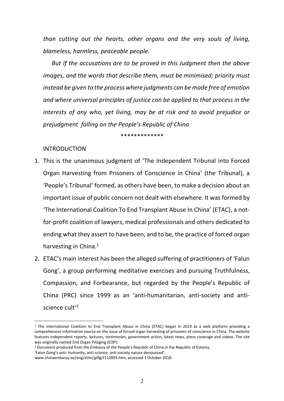*than cutting out the hearts, other organs and the very souls of living, blameless, harmless, peaceable people.* 

*But If the accusations are to be proved in this Judgment then the above images, and the words that describe them, must be minimised; priority must instead be given to the process where judgments can be made free of emotion and where universal principles of justice can be applied to that process in the interests of any who, yet living, may be at risk and to avoid prejudice or prejudgment falling on the People's Republic of China*

\*\*\*\*\*\*\*\*\*\*\*\*\*

## INTRODUCTION

- 1. This is the unanimous judgment of 'The Independent Tribunal into Forced Organ Harvesting from Prisoners of Conscience in China' (the Tribunal), a 'People's Tribunal' formed, as others have been, to make a decision about an important issue of public concern not dealt with elsewhere. It was formed by 'The International Coalition To End Transplant Abuse In China' (ETAC), a notfor-profit coalition of lawyers, medical professionals and others dedicated to ending what they assert to have been, and to be, the practice of forced organ harvesting in China. $<sup>1</sup>$ </sup>
- 2. ETAC's main interest has been the alleged suffering of practitioners of 'Falun Gong', a group performing meditative exercises and pursuing Truthfulness, Compassion, and Forbearance, but regarded by the People's Republic of China (PRC) since 1999 as an 'anti-humanitarian, anti-society and antiscience cult'2

<sup>1</sup> The International Coalition to End Transplant Abuse in China (ETAC) began in 2014 as a web platform providing a comprehensive information source on the issue of forced organ harvesting of prisoners of conscience in China. The website features independent reports, lectures, testimonies, government action, latest news, press coverage and videos. The site was originally named End Organ Pillaging (EOP):

<sup>2</sup> Document produced from the Embassy of the People's Republic of China in the Republic of Estonia,

<sup>&#</sup>x27;Falun Gong's anti- humanity, anti-science, anti-society nature denounced':

www.chinaembassy.ee/eng/ztlm/jpflg/t112893.htm, accessed 1 October 2018.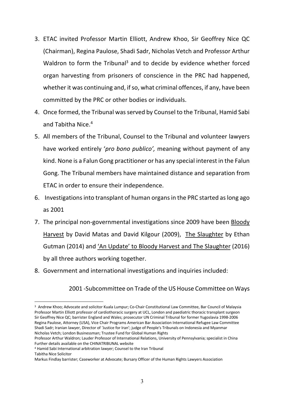- 3. ETAC invited Professor Martin Elliott, Andrew Khoo, Sir Geoffrey Nice QC (Chairman), Regina Paulose, Shadi Sadr, Nicholas Vetch and Professor Arthur Waldron to form the Tribunal<sup>3</sup> and to decide by evidence whether forced organ harvesting from prisoners of conscience in the PRC had happened, whether it was continuing and, if so, what criminal offences, if any, have been committed by the PRC or other bodies or individuals.
- 4. Once formed, the Tribunal was served by Counsel to the Tribunal, Hamid Sabi and Tabitha Nice.<sup>4</sup>
- 5. All members of the Tribunal, Counsel to the Tribunal and volunteer lawyers have worked entirely '*pro bono publico',* meaning without payment of any kind. None is a Falun Gong practitioner or has any special interest in the Falun Gong. The Tribunal members have maintained distance and separation from ETAC in order to ensure their independence.
- 6. Investigations into transplant of human organs in the PRC started as long ago as 2001
- 7. The principal non-governmental investigations since 2009 have been Bloody Harvest by David Matas and David Kilgour (2009), The Slaughter by Ethan Gutman (2014) and 'An Update' to Bloody Harvest and The Slaughter (2016) by all three authors working together.
- 8. Government and international investigations and inquiries included:

## 2001 -Subcommittee on Trade of the US House Committee on Ways

<sup>3</sup> Andrew Khoo; Advocate and solicitor Kuala Lumpur; Co-Chair Constitutional Law Committee, Bar Council of Malaysia Professor Martin Elliott professor of cardiothoracic surgery at UCL, London and paediatric thoracic transplant surgeon Sir Geoffrey Nice QC; barrister England and Wales; prosecutor UN Criminal Tribunal for former Yugoslavia 1998-2006 Regina Paulose, Attorney (USA), Vice Chair Programs American Bar Association International Refugee Law Committee Shadi Sadr; Iranian lawyer, Director of 'Justice for Iran'; judge of People's Tribunals on Indonesia and Myanmar Nicholas Vetch; London Businessman; Trustee Fund for Global Human Rights

Professor Arthur Waldron; Lauder Professor of International Relations, University of Pennsylvania; specialist in China Further details available on the CHINATRIBUNAL website

<sup>4</sup> Hamid Sabi International arbitration lawyer; Counsel to the Iran Tribunal Tabitha Nice Solicitor

Markus Findlay barrister; Caseworker at Advocate; Bursary Officer of the Human Rights Lawyers Association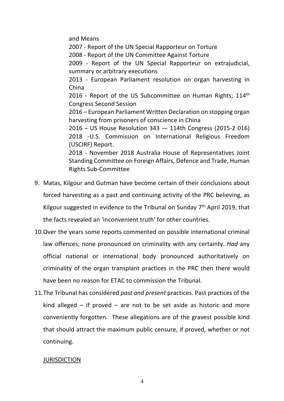and Means

2007 - Report of the UN Special Rapporteur on Torture

2008 - Report of the UN Committee Against Torture

2009 - Report of the UN Special Rapporteur on extrajudicial, summary or arbitrary executions

2013 - European Parliament resolution on organ harvesting in China

2016 - Report of the US Subcommittee on Human Rights; 114<sup>th</sup> Congress Second Session

2016 – European Parliament Written Declaration on stopping organ harvesting from prisoners of conscience in China

2016 – US House Resolution 343 — 114th Congress (2015-2 016) 2018 -U.S. Commission on International Religious Freedom (USCIRF) Report.

2018 - November 2018 Australia House of Representatives Joint Standing Committee on Foreign Affairs, Defence and Trade, Human Rights Sub-Committee

- 9. Matas, Kilgour and Gutman have become certain of their conclusions about forced harvesting as a past and continuing activity of the PRC believing, as Kilgour suggested in evidence to the Tribunal on Sunday 7<sup>th</sup> April 2019, that the facts revealed an 'inconvenient truth' for other countries.
- 10.Over the years some reports commented on possible international criminal law offences; none pronounced on criminality with any certainty. *Had* any official national or international body pronounced authoritatively on criminality of the organ transplant practices in the PRC then there would have been no reason for ETAC to commission the Tribunal.
- 11.The Tribunal has considered *past and present* practices. Past practices of the kind alleged – if proved – are not to be set aside as historic and more conveniently forgotten. These allegations are of the gravest possible kind that should attract the maximum public censure, if proved, whether or not continuing.

## **JURISDICTION**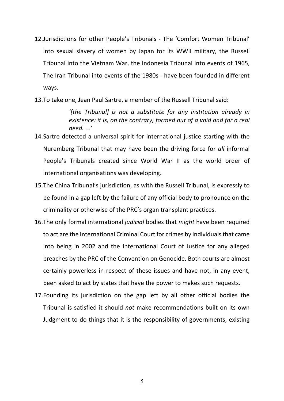- 12.Jurisdictions for other People's Tribunals The 'Comfort Women Tribunal' into sexual slavery of women by Japan for its WWII military, the Russell Tribunal into the Vietnam War, the Indonesia Tribunal into events of 1965, The Iran Tribunal into events of the 1980s - have been founded in different ways.
- 13.To take one, Jean Paul Sartre, a member of the Russell Tribunal said:

*'[the Tribunal] is not a substitute for any institution already in existence: it is, on the contrary, formed out of a void and for a real need. . .'*

- 14.Sartre detected a universal spirit for international justice starting with the Nuremberg Tribunal that may have been the driving force for *all* informal People's Tribunals created since World War II as the world order of international organisations was developing.
- 15.The China Tribunal's jurisdiction, as with the Russell Tribunal, is expressly to be found in a gap left by the failure of any official body to pronounce on the criminality or otherwise of the PRC's organ transplant practices.
- 16.The only formal international *judicial* bodies that *might* have been required to act are the International Criminal Court for crimes by individuals that came into being in 2002 and the International Court of Justice for any alleged breaches by the PRC of the Convention on Genocide. Both courts are almost certainly powerless in respect of these issues and have not, in any event, been asked to act by states that have the power to makes such requests.
- 17.Founding its jurisdiction on the gap left by all other official bodies the Tribunal is satisfied it should *not* make recommendations built on its own Judgment to do things that it is the responsibility of governments, existing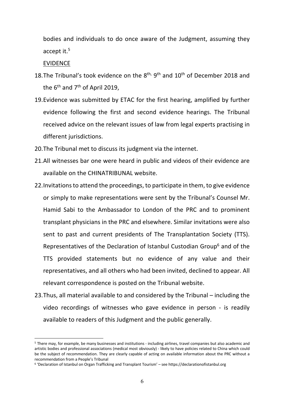bodies and individuals to do once aware of the Judgment, assuming they accept it.5

EVIDENCE

- 18. The Tribunal's took evidence on the  $8<sup>th</sup>$ ,  $9<sup>th</sup>$  and  $10<sup>th</sup>$  of December 2018 and the 6<sup>th</sup> and 7<sup>th</sup> of April 2019.
- 19.Evidence was submitted by ETAC for the first hearing, amplified by further evidence following the first and second evidence hearings. The Tribunal received advice on the relevant issues of law from legal experts practising in different jurisdictions.
- 20.The Tribunal met to discuss its judgment via the internet.
- 21.All witnesses bar one were heard in public and videos of their evidence are available on the CHINATRIBUNAL website.
- 22.Invitations to attend the proceedings, to participate in them, to give evidence or simply to make representations were sent by the Tribunal's Counsel Mr. Hamid Sabi to the Ambassador to London of the PRC and to prominent transplant physicians in the PRC and elsewhere. Similar invitations were also sent to past and current presidents of The Transplantation Society (TTS). Representatives of the Declaration of Istanbul Custodian Group<sup>6</sup> and of the TTS provided statements but no evidence of any value and their representatives, and all others who had been invited, declined to appear. All relevant correspondence is posted on the Tribunal website.
- 23.Thus, all material available to and considered by the Tribunal including the video recordings of witnesses who gave evidence in person - is readily available to readers of this Judgment and the public generally.

<sup>5</sup> There may, for example, be many businesses and institutions - including airlines, travel companies but also academic and artistic bodies and professional associations (medical most obviously) - likely to have policies related to China which could be the subject of recommendation. They are clearly capable of acting on available information about the PRC without a recommendation from a People's Tribunal

<sup>6</sup> 'Declaration of Istanbul on Organ Trafficking and Transplant Tourism' – see https://declarationofistanbul.org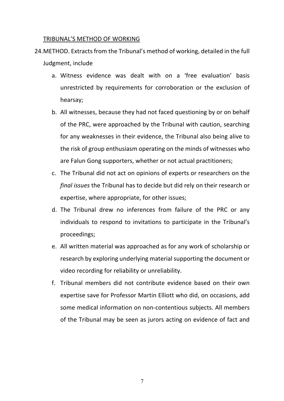### TRIBUNAL'S METHOD OF WORKING

- 24.METHOD. Extracts from the Tribunal's method of working, detailed in the full Judgment, include
	- a. Witness evidence was dealt with on a 'free evaluation' basis unrestricted by requirements for corroboration or the exclusion of hearsay;
	- b. All witnesses, because they had not faced questioning by or on behalf of the PRC, were approached by the Tribunal with caution, searching for any weaknesses in their evidence, the Tribunal also being alive to the risk of group enthusiasm operating on the minds of witnesses who are Falun Gong supporters, whether or not actual practitioners;
	- c. The Tribunal did not act on opinions of experts or researchers on the *final issues* the Tribunal has to decide but did rely on their research or expertise, where appropriate, for other issues;
	- d. The Tribunal drew no inferences from failure of the PRC or any individuals to respond to invitations to participate in the Tribunal's proceedings;
	- e. All written material was approached as for any work of scholarship or research by exploring underlying material supporting the document or video recording for reliability or unreliability.
	- f. Tribunal members did not contribute evidence based on their own expertise save for Professor Martin Elliott who did, on occasions, add some medical information on non-contentious subjects. All members of the Tribunal may be seen as jurors acting on evidence of fact and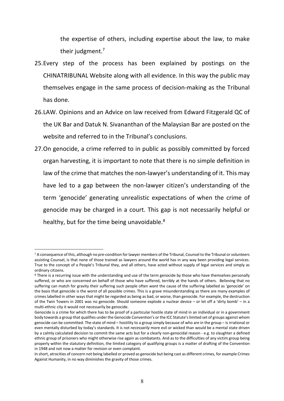the expertise of others, including expertise about the law, to make their judgment.<sup>7</sup>

- 25.Every step of the process has been explained by postings on the CHINATRIBUNAL Website along with all evidence. In this way the public may themselves engage in the same process of decision-making as the Tribunal has done.
- 26.LAW. Opinions and an Advice on law received from Edward Fitzgerald QC of the UK Bar and Datuk N. Sivananthan of the Malaysian Bar are posted on the website and referred to in the Tribunal's conclusions.
- 27.On genocide, a crime referred to in public as possibly committed by forced organ harvesting, it is important to note that there is no simple definition in law of the crime that matches the non-lawyer's understanding of it. This may have led to a gap between the non-lawyer citizen's understanding of the term 'genocide' generating unrealistic expectations of when the crime of genocide may be charged in a court. This gap is not necessarily helpful or healthy, but for the time being unavoidable.<sup>8</sup>

<sup>&</sup>lt;sup>7</sup> A consequence of this, although no pre-condition for lawyer members of the Tribunal, Counsel to the Tribunal or volunteers assisting Counsel, is that none of those trained as lawyers around the world has in any way been providing legal services. True to the concept of a People's Tribunal they, and all others, have acted without supply of legal services and simply as ordinary citizens.

<sup>&</sup>lt;sup>8</sup> There is a recurring issue with the understanding and use of the term genocide by those who have themselves personally suffered, or who are concerned on behalf of those who have suffered, terribly at the hands of others. Believing that no suffering can match for gravity their suffering such people often *want* the cause of the suffering labelled as 'genocide' on the basis that genocide is the worst of all possible crimes. This is a grave misunderstanding as there are many examples of crimes labelled in other ways that might be regarded as being as bad, or worse, than genocide. For example, the destruction of the Twin Towers in 2001 was no genocide. Should someone explode a nuclear device – or let off a 'dirty bomb' – in a multi-ethnic city it would not necessarily be genocide.

Genocide is a crime for which there has to be proof of a particular hostile state of mind in an individual or in a government body towards a group that qualifies under the Genocide Convention's or the ICC Statute's limited set of groups against whom genocide can be committed. The state of mind – hostility to a group simply because of who are in the group – is irrational or even mentally disturbed by today's standards. It is not *necessarily* more evil or wicked than would be a mental state driven by a calmly calculated decision to commit the same acts but for a clearly non-genocidal reason - e.g. to slaughter a defined ethnic group of prisoners who might otherwise rise again as combatants. And as to the difficulties of any victim group being properly within the statutory definition, the limited category of qualifying groups is a matter of drafting of the Convention in 1948 and not now a matter for revision or even complaint.

In short, atrocities of concern not being labelled or proved as genocide but being cast as different crimes, for example Crimes Against Humanity, in no way diminishes the gravity of those crimes.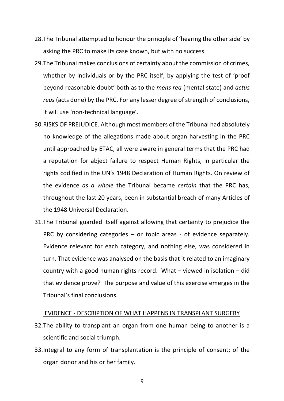- 28.The Tribunal attempted to honour the principle of 'hearing the other side' by asking the PRC to make its case known, but with no success.
- 29.The Tribunal makes conclusions of certainty about the commission of crimes, whether by individuals or by the PRC itself, by applying the test of 'proof beyond reasonable doubt' both as to the *mens rea* (mental state) and *actus reus* (acts done) by the PRC. For any lesser degree of strength of conclusions, it will use 'non-technical language'.
- 30.RISKS OF PREJUDICE. Although most members of the Tribunal had absolutely no knowledge of the allegations made about organ harvesting in the PRC until approached by ETAC, all were aware in general terms that the PRC had a reputation for abject failure to respect Human Rights, in particular the rights codified in the UN's 1948 Declaration of Human Rights. On review of the evidence *as a whole* the Tribunal became *certain* that the PRC has, throughout the last 20 years, been in substantial breach of many Articles of the 1948 Universal Declaration.
- 31.The Tribunal guarded itself against allowing that certainty to prejudice the PRC by considering categories – or topic areas - of evidence separately. Evidence relevant for each category, and nothing else, was considered in turn. That evidence was analysed on the basis that it related to an imaginary country with a good human rights record. What – viewed in isolation – did that evidence prove? The purpose and value of this exercise emerges in the Tribunal's final conclusions.

#### EVIDENCE - DESCRIPTION OF WHAT HAPPENS IN TRANSPLANT SURGERY

- 32.The ability to transplant an organ from one human being to another is a scientific and social triumph.
- 33.Integral to any form of transplantation is the principle of consent; of the organ donor and his or her family.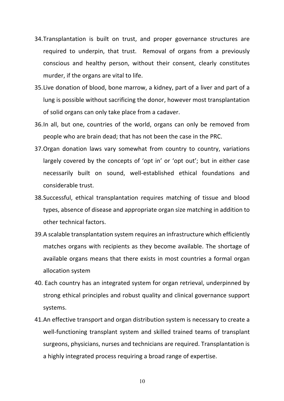- 34.Transplantation is built on trust, and proper governance structures are required to underpin, that trust. Removal of organs from a previously conscious and healthy person, without their consent, clearly constitutes murder, if the organs are vital to life.
- 35.Live donation of blood, bone marrow, a kidney, part of a liver and part of a lung is possible without sacrificing the donor, however most transplantation of solid organs can only take place from a cadaver.
- 36.In all, but one, countries of the world, organs can only be removed from people who are brain dead; that has not been the case in the PRC.
- 37.Organ donation laws vary somewhat from country to country, variations largely covered by the concepts of 'opt in' or 'opt out'; but in either case necessarily built on sound, well-established ethical foundations and considerable trust.
- 38.Successful, ethical transplantation requires matching of tissue and blood types, absence of disease and appropriate organ size matching in addition to other technical factors.
- 39.A scalable transplantation system requires an infrastructure which efficiently matches organs with recipients as they become available. The shortage of available organs means that there exists in most countries a formal organ allocation system
- 40. Each country has an integrated system for organ retrieval, underpinned by strong ethical principles and robust quality and clinical governance support systems.
- 41.An effective transport and organ distribution system is necessary to create a well-functioning transplant system and skilled trained teams of transplant surgeons, physicians, nurses and technicians are required. Transplantation is a highly integrated process requiring a broad range of expertise.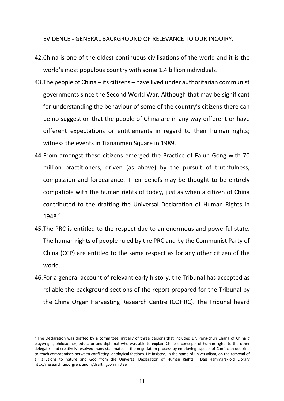## EVIDENCE - GENERAL BACKGROUND OF RELEVANCE TO OUR INQUIRY.

- 42.China is one of the oldest continuous civilisations of the world and it is the world's most populous country with some 1.4 billion individuals.
- 43.The people of China its citizens have lived under authoritarian communist governments since the Second World War. Although that may be significant for understanding the behaviour of some of the country's citizens there can be no suggestion that the people of China are in any way different or have different expectations or entitlements in regard to their human rights; witness the events in Tiananmen Square in 1989.
- 44.From amongst these citizens emerged the Practice of Falun Gong with 70 million practitioners, driven (as above) by the pursuit of truthfulness, compassion and forbearance. Their beliefs may be thought to be entirely compatible with the human rights of today, just as when a citizen of China contributed to the drafting the Universal Declaration of Human Rights in 1948. 9
- 45.The PRC is entitled to the respect due to an enormous and powerful state. The human rights of people ruled by the PRC and by the Communist Party of China (CCP) are entitled to the same respect as for any other citizen of the world.
- 46.For a general account of relevant early history, the Tribunal has accepted as reliable the background sections of the report prepared for the Tribunal by the China Organ Harvesting Research Centre (COHRC). The Tribunal heard

<sup>9</sup> The Declaration was drafted by a committee, initially of three persons that included Dr. Peng-chun Chang of China *a*  playwright, philosopher, educator and diplomat who was able to explain Chinese concepts of human rights to the other delegates and creatively resolved many stalemates in the negotiation process by employing aspects of Confucian doctrine to reach compromises between conflicting ideological factions. He insisted, in the name of universalism, on the removal of all allusions to nature and God from the Universal Declaration of Human Rights: Dag Hammarskjöld Library http://research.un.org/en/undhr/draftingcommittee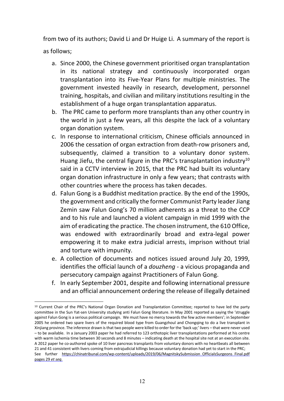from two of its authors; David Li and Dr Huige Li. A summary of the report is as follows;

- a. Since 2000, the Chinese government prioritised organ transplantation in its national strategy and continuously incorporated organ transplantation into its Five-Year Plans for multiple ministries. The government invested heavily in research, development, personnel training, hospitals, and civilian and military institutions resulting in the establishment of a huge organ transplantation apparatus.
- b. The PRC came to perform more transplants than any other country in the world in just a few years, all this despite the lack of a voluntary organ donation system.
- c. In response to international criticism, Chinese officials announced in 2006 the cessation of organ extraction from death-row prisoners and, subsequently, claimed a transition to a voluntary donor system. Huang Jiefu, the central figure in the PRC's transplantation industry<sup>10</sup> said in a CCTV interview in 2015, that the PRC had built its voluntary organ donation infrastructure in only a few years; that contrasts with other countries where the process has taken decades.
- d. Falun Gong is a Buddhist meditation practice. By the end of the 1990s, the government and critically the former Communist Party leader Jiang Zemin saw Falun Gong's 70 million adherents as a threat to the CCP and to his rule and launched a violent campaign in mid 1999 with the aim of eradicating the practice. The chosen instrument, the 610 Office, was endowed with extraordinarily broad and extra-legal power empowering it to make extra judicial arrests, imprison without trial and torture with impunity.
- e. A collection of documents and notices issued around July 20, 1999, identifies the official launch of a *douzheng* - a vicious propaganda and persecutory campaign against Practitioners of Falun Gong.
- f. In early September 2001, despite and following international pressure and an official announcement ordering the release of illegally detained

<sup>10</sup> Current Chair of the PRC's National Organ Donation and Transplantation Committee; reported to have led the party committee in the Sun Yat-sen University studying anti Falun Gong literature. In May 2001 reported as saying the 'struggle against Falun Gong is a serious political campaign. We must have no mercy towards the few active members'; in September 2005 he ordered two spare livers of the required blood type from Guangzhoul and Chongqing to do a live transplant in Xinjiang province. The inference drawn isthat two people were killed to order for the 'back up;' livers – that were never used – to be available. In a January 2003 paper he had referred to 123 orthotopic liver transplantations performed at his centre with warm ischemia time between 30 seconds and 8 minutes – indicating death at the hospital site not at an execution site. A 2012 paper he co-authored spoke of 10 liver pancreas transplants from voluntary donors with no heartbeats all between 21 and 41 consistent with livers coming from extrajudicial killings because voluntary donation had yet to start in the PRC; See further https://chinatribunal.com/wp-content/uploads/2019/06/MagnitskySubmission\_OfficialsSurgeons\_Final.pdf pages 29 *et seq*.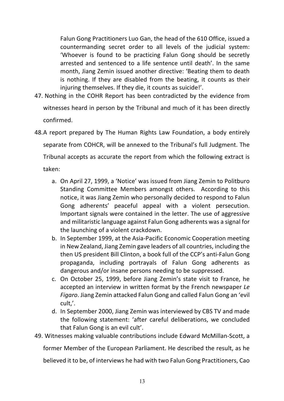Falun Gong Practitioners Luo Gan, the head of the 610 Office, issued a countermanding secret order to all levels of the judicial system: 'Whoever is found to be practicing Falun Gong should be secretly arrested and sentenced to a life sentence until death'. In the same month, Jiang Zemin issued another directive: 'Beating them to death is nothing. If they are disabled from the beating, it counts as their injuring themselves. If they die, it counts as suicide!'.

- 47. Nothing in the COHR Report has been contradicted by the evidence from witnesses heard in person by the Tribunal and much of it has been directly confirmed.
- 48.A report prepared by The Human Rights Law Foundation, a body entirely separate from COHCR, will be annexed to the Tribunal's full Judgment. The Tribunal accepts as accurate the report from which the following extract is taken:
	- a. On April 27, 1999, a 'Notice' was issued from Jiang Zemin to Politburo Standing Committee Members amongst others. According to this notice, it was Jiang Zemin who personally decided to respond to Falun Gong adherents' peaceful appeal with a violent persecution. Important signals were contained in the letter. The use of aggressive and militaristic language against Falun Gong adherents was a signal for the launching of a violent crackdown.
	- b. In September 1999, at the Asia-Pacific Economic Cooperation meeting in New Zealand, Jiang Zemin gave leaders of all countries, including the then US president Bill Clinton, a book full of the CCP's anti-Falun Gong propaganda, including portrayals of Falun Gong adherents as dangerous and/or insane persons needing to be suppressed.
	- c. On October 25, 1999, before Jiang Zemin's state visit to France, he accepted an interview in written format by the French newspaper *Le Figaro*. Jiang Zemin attacked Falun Gong and called Falun Gong an 'evil cult,'.
	- d. In September 2000, Jiang Zemin was interviewed by CBS TV and made the following statement: 'after careful deliberations, we concluded that Falun Gong is an evil cult'.
- 49. Witnesses making valuable contributions include Edward McMillan-Scott, a

former Member of the European Parliament. He described the result, as he

believed it to be, of interviews he had with two Falun Gong Practitioners, Cao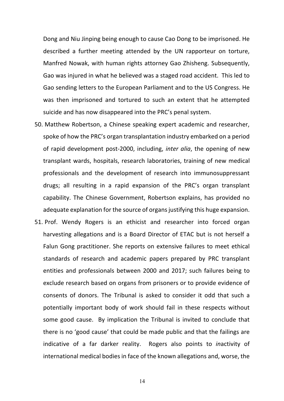Dong and Niu Jinping being enough to cause Cao Dong to be imprisoned. He described a further meeting attended by the UN rapporteur on torture, Manfred Nowak, with human rights attorney Gao Zhisheng. Subsequently, Gao was injured in what he believed was a staged road accident. This led to Gao sending letters to the European Parliament and to the US Congress. He was then imprisoned and tortured to such an extent that he attempted suicide and has now disappeared into the PRC's penal system.

- 50. Matthew Robertson, a Chinese speaking expert academic and researcher, spoke of how the PRC's organ transplantation industry embarked on a period of rapid development post-2000, including, *inter alia*, the opening of new transplant wards, hospitals, research laboratories, training of new medical professionals and the development of research into immunosuppressant drugs; all resulting in a rapid expansion of the PRC's organ transplant capability. The Chinese Government, Robertson explains, has provided no adequate explanation for the source of organs justifying this huge expansion.
- 51. Prof. Wendy Rogers is an ethicist and researcher into forced organ harvesting allegations and is a Board Director of ETAC but is not herself a Falun Gong practitioner. She reports on extensive failures to meet ethical standards of research and academic papers prepared by PRC transplant entities and professionals between 2000 and 2017; such failures being to exclude research based on organs from prisoners or to provide evidence of consents of donors. The Tribunal is asked to consider it odd that such a potentially important body of work should fail in these respects without some good cause. By implication the Tribunal is invited to conclude that there is no 'good cause' that could be made public and that the failings are indicative of a far darker reality. Rogers also points to *in*activity of international medical bodies in face of the known allegations and, worse, the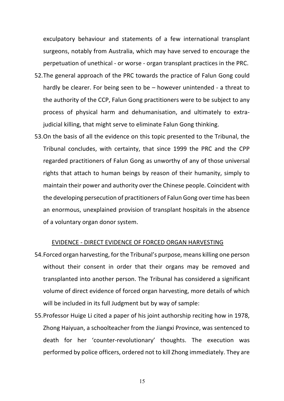exculpatory behaviour and statements of a few international transplant surgeons, notably from Australia, which may have served to encourage the perpetuation of unethical - or worse - organ transplant practices in the PRC.

- 52.The general approach of the PRC towards the practice of Falun Gong could hardly be clearer. For being seen to be – however unintended - a threat to the authority of the CCP, Falun Gong practitioners were to be subject to any process of physical harm and dehumanisation, and ultimately to extrajudicial killing, that might serve to eliminate Falun Gong thinking.
- 53.On the basis of all the evidence on this topic presented to the Tribunal, the Tribunal concludes, with certainty, that since 1999 the PRC and the CPP regarded practitioners of Falun Gong as unworthy of any of those universal rights that attach to human beings by reason of their humanity, simply to maintain their power and authority over the Chinese people. Coincident with the developing persecution of practitioners of Falun Gong over time has been an enormous, unexplained provision of transplant hospitals in the absence of a voluntary organ donor system.

#### EVIDENCE - DIRECT EVIDENCE OF FORCED ORGAN HARVESTING

- 54.Forced organ harvesting, for the Tribunal's purpose, means killing one person without their consent in order that their organs may be removed and transplanted into another person. The Tribunal has considered a significant volume of direct evidence of forced organ harvesting, more details of which will be included in its full Judgment but by way of sample:
- 55.Professor Huige Li cited a paper of his joint authorship reciting how in 1978, Zhong Haiyuan, a schoolteacher from the Jiangxi Province, was sentenced to death for her 'counter-revolutionary' thoughts. The execution was performed by police officers, ordered not to kill Zhong immediately. They are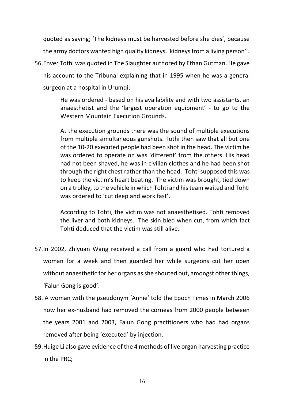quoted as saying; 'The kidneys must be harvested before she dies', because the army doctors wanted high quality kidneys, 'kidneys from a living person''. 56.Enver Tothi was quoted in The Slaughter authored by Ethan Gutman. He gave his account to the Tribunal explaining that in 1995 when he was a general surgeon at a hospital in Urumqi:

> He was ordered - based on his availability and with two assistants, an anaesthetist and the 'largest operation equipment' - to go to the Western Mountain Execution Grounds.

> At the execution grounds there was the sound of multiple executions from multiple simultaneous gunshots. Tothi then saw that all but one of the 10-20 executed people had been shot in the head. The victim he was ordered to operate on was 'different' from the others. His head had not been shaved, he was in civilian clothes and he had been shot through the right chest rather than the head. Tohti supposed this was to keep the victim's heart beating. The victim was brought, tied down on a trolley, to the vehicle in which Tohti and his team waited and Tohti was ordered to 'cut deep and work fast'.

> According to Tohti, the victim was not anaesthetised. Tohti removed the liver and both kidneys. The skin bled when cut, from which fact Tohti deduced that the victim was still alive.

- 57.In 2002, Zhiyuan Wang received a call from a guard who had tortured a woman for a week and then guarded her while surgeons cut her open without anaesthetic for her organs as she shouted out, amongst other things, 'Falun Gong is good'.
- 58. A woman with the pseudonym 'Annie' told the Epoch Times in March 2006 how her ex-husband had removed the corneas from 2000 people between the years 2001 and 2003, Falun Gong practitioners who had had organs removed after being 'executed' by injection.
- 59.Huige Li also gave evidence of the 4 methods of live organ harvesting practice in the PRC;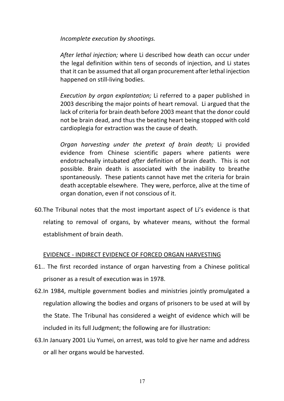*Incomplete execution by shootings.*

*After lethal injection;* where Li described how death can occur under the legal definition within tens of seconds of injection, and Li states that it can be assumed that all organ procurement after lethal injection happened on still-living bodies.

*Execution by organ explantation;* Li referred to a paper published in 2003 describing the major points of heart removal. Li argued that the lack of criteria for brain death before 2003 meant that the donor could not be brain dead, and thus the beating heart being stopped with cold cardioplegia for extraction was the cause of death.

*Organ harvesting under the pretext of brain death;* Li provided evidence from Chinese scientific papers where patients were endotracheally intubated *after* definition of brain death. This is not possible. Brain death is associated with the inability to breathe spontaneously. These patients cannot have met the criteria for brain death acceptable elsewhere. They were, perforce, alive at the time of organ donation, even if not conscious of it.

60.The Tribunal notes that the most important aspect of Li's evidence is that relating to removal of organs, by whatever means, without the formal establishment of brain death.

## EVIDENCE - INDIRECT EVIDENCE OF FORCED ORGAN HARVESTING

- 61.. The first recorded instance of organ harvesting from a Chinese political prisoner as a result of execution was in 1978.
- 62.In 1984, multiple government bodies and ministries jointly promulgated a regulation allowing the bodies and organs of prisoners to be used at will by the State. The Tribunal has considered a weight of evidence which will be included in its full Judgment; the following are for illustration:
- 63.In January 2001 Liu Yumei, on arrest, was told to give her name and address or all her organs would be harvested.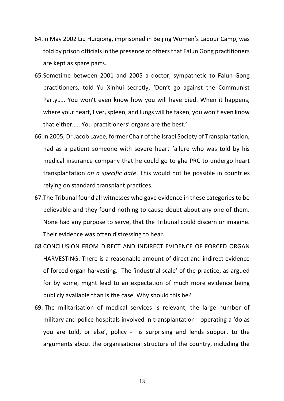- 64.In May 2002 Liu Huiqiong, imprisoned in Beijing Women's Labour Camp, was told by prison officials in the presence of others that Falun Gong practitioners are kept as spare parts.
- 65.Sometime between 2001 and 2005 a doctor, sympathetic to Falun Gong practitioners, told Yu Xinhui secretly, 'Don't go against the Communist Party….. You won't even know how you will have died. When it happens, where your heart, liver, spleen, and lungs will be taken, you won't even know that either….. You practitioners' organs are the best.'
- 66.In 2005, Dr Jacob Lavee, former Chair of the Israel Society of Transplantation, had as a patient someone with severe heart failure who was told by his medical insurance company that he could go to ghe PRC to undergo heart transplantation *on a specific date*. This would not be possible in countries relying on standard transplant practices.
- 67.The Tribunal found all witnesses who gave evidence in these categories to be believable and they found nothing to cause doubt about any one of them. None had any purpose to serve, that the Tribunal could discern or imagine. Their evidence was often distressing to hear.
- 68.CONCLUSION FROM DIRECT AND INDIRECT EVIDENCE OF FORCED ORGAN HARVESTING. There is a reasonable amount of direct and indirect evidence of forced organ harvesting. The 'industrial scale' of the practice, as argued for by some, might lead to an expectation of much more evidence being publicly available than is the case. Why should this be?
- 69. The militarisation of medical services is relevant; the large number of military and police hospitals involved in transplantation - operating a 'do as you are told, or else', policy - is surprising and lends support to the arguments about the organisational structure of the country, including the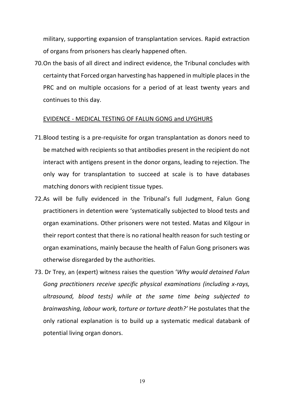military, supporting expansion of transplantation services. Rapid extraction of organs from prisoners has clearly happened often.

70.On the basis of all direct and indirect evidence, the Tribunal concludes with certainty that Forced organ harvesting has happened in multiple places in the PRC and on multiple occasions for a period of at least twenty years and continues to this day.

#### EVIDENCE - MEDICAL TESTING OF FALUN GONG and UYGHURS

- 71.Blood testing is a pre-requisite for organ transplantation as donors need to be matched with recipients so that antibodies present in the recipient do not interact with antigens present in the donor organs, leading to rejection. The only way for transplantation to succeed at scale is to have databases matching donors with recipient tissue types.
- 72.As will be fully evidenced in the Tribunal's full Judgment, Falun Gong practitioners in detention were 'systematically subjected to blood tests and organ examinations. Other prisoners were not tested. Matas and Kilgour in their report contest that there is no rational health reason for such testing or organ examinations, mainly because the health of Falun Gong prisoners was otherwise disregarded by the authorities.
- 73. Dr Trey, an (expert) witness raises the question '*Why would detained Falun Gong practitioners receive specific physical examinations (including x-rays, ultrasound, blood tests) while at the same time being subjected to brainwashing, labour work, torture or torture death?'* He postulates that the only rational explanation is to build up a systematic medical databank of potential living organ donors.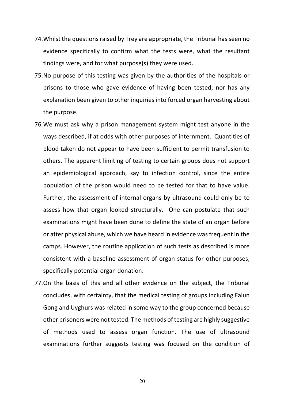- 74.Whilst the questions raised by Trey are appropriate, the Tribunal has seen no evidence specifically to confirm what the tests were, what the resultant findings were, and for what purpose(s) they were used.
- 75.No purpose of this testing was given by the authorities of the hospitals or prisons to those who gave evidence of having been tested; nor has any explanation been given to other inquiries into forced organ harvesting about the purpose.
- 76.We must ask why a prison management system might test anyone in the ways described, if at odds with other purposes of internment. Quantities of blood taken do not appear to have been sufficient to permit transfusion to others. The apparent limiting of testing to certain groups does not support an epidemiological approach, say to infection control, since the entire population of the prison would need to be tested for that to have value. Further, the assessment of internal organs by ultrasound could only be to assess how that organ looked structurally. One can postulate that such examinations might have been done to define the state of an organ before or after physical abuse, which we have heard in evidence was frequent in the camps. However, the routine application of such tests as described is more consistent with a baseline assessment of organ status for other purposes, specifically potential organ donation.
- 77.On the basis of this and all other evidence on the subject, the Tribunal concludes, with certainty, that the medical testing of groups including Falun Gong and Uyghurs was related in some way to the group concerned because other prisoners were not tested. The methods of testing are highly suggestive of methods used to assess organ function. The use of ultrasound examinations further suggests testing was focused on the condition of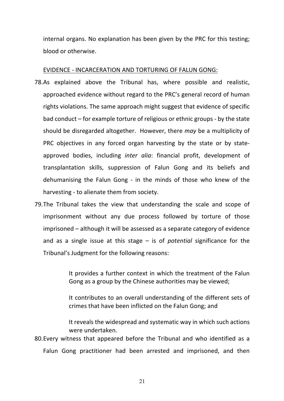internal organs. No explanation has been given by the PRC for this testing; blood or otherwise.

EVIDENCE - INCARCERATION AND TORTURING OF FALUN GONG:

- 78.As explained above the Tribunal has, where possible and realistic, approached evidence without regard to the PRC's general record of human rights violations. The same approach might suggest that evidence of specific bad conduct – for example torture of religious or ethnic groups - by the state should be disregarded altogether. However, there *may* be a multiplicity of PRC objectives in any forced organ harvesting by the state or by stateapproved bodies, including *inter alia*: financial profit, development of transplantation skills, suppression of Falun Gong and its beliefs and dehumanising the Falun Gong - in the minds of those who knew of the harvesting - to alienate them from society.
- 79.The Tribunal takes the view that understanding the scale and scope of imprisonment without any due process followed by torture of those imprisoned – although it will be assessed as a separate category of evidence and as a single issue at this stage – is of *potential* significance for the Tribunal's Judgment for the following reasons:

It provides a further context in which the treatment of the Falun Gong as a group by the Chinese authorities may be viewed;

It contributes to an overall understanding of the different sets of crimes that have been inflicted on the Falun Gong; and

It reveals the widespread and systematic way in which such actions were undertaken.

80.Every witness that appeared before the Tribunal and who identified as a Falun Gong practitioner had been arrested and imprisoned, and then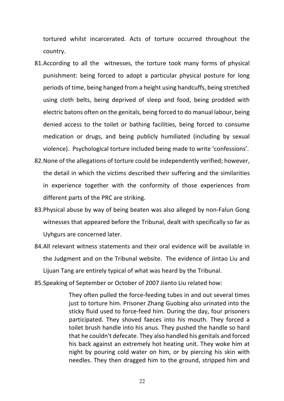tortured whilst incarcerated. Acts of torture occurred throughout the country.

- 81.According to all the witnesses, the torture took many forms of physical punishment: being forced to adopt a particular physical posture for long periods of time, being hanged from a height using handcuffs, being stretched using cloth belts, being deprived of sleep and food, being prodded with electric batons often on the genitals, being forced to do manual labour, being denied access to the toilet or bathing facilities, being forced to consume medication or drugs, and being publicly humiliated (including by sexual violence). Psychological torture included being made to write 'confessions'.
- 82.None of the allegations of torture could be independently verified; however, the detail in which the victims described their suffering and the similarities in experience together with the conformity of those experiences from different parts of the PRC are striking.
- 83.Physical abuse by way of being beaten was also alleged by non-Falun Gong witnesses that appeared before the Tribunal, dealt with specifically so far as Uyhgurs are concerned later.
- 84.All relevant witness statements and their oral evidence will be available in the Judgment and on the Tribunal website. The evidence of Jintao Liu and Lijuan Tang are entirely typical of what was heard by the Tribunal.
- 85.Speaking of September or October of 2007 Jianto Liu related how:

They often pulled the force-feeding tubes in and out several times just to torture him. Prisoner Zhang Guobing also urinated into the sticky fluid used to force-feed him. During the day, four prisoners participated. They shoved faeces into his mouth. They forced a toilet brush handle into his anus. They pushed the handle so hard that he couldn't defecate. They also handled his genitals and forced his back against an extremely hot heating unit. They woke him at night by pouring cold water on him, or by piercing his skin with needles. They then dragged him to the ground, stripped him and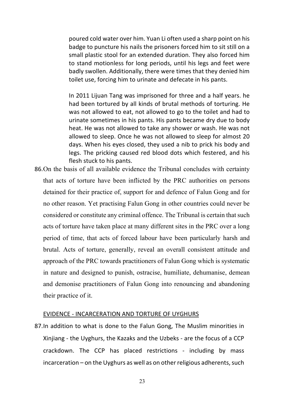poured cold water over him. Yuan Li often used a sharp point on his badge to puncture his nails the prisoners forced him to sit still on a small plastic stool for an extended duration. They also forced him to stand motionless for long periods, until his legs and feet were badly swollen. Additionally, there were times that they denied him toilet use, forcing him to urinate and defecate in his pants.

In 2011 Lijuan Tang was imprisoned for three and a half years. he had been tortured by all kinds of brutal methods of torturing. He was not allowed to eat, not allowed to go to the toilet and had to urinate sometimes in his pants. His pants became dry due to body heat. He was not allowed to take any shower or wash. He was not allowed to sleep. Once he was not allowed to sleep for almost 20 days. When his eyes closed, they used a nib to prick his body and legs. The pricking caused red blood dots which festered, and his flesh stuck to his pants.

86.On the basis of all available evidence the Tribunal concludes with certainty that acts of torture have been inflicted by the PRC authorities on persons detained for their practice of, support for and defence of Falun Gong and for no other reason. Yet practising Falun Gong in other countries could never be considered or constitute any criminal offence. The Tribunal is certain that such acts of torture have taken place at many different sites in the PRC over a long period of time, that acts of forced labour have been particularly harsh and brutal. Acts of torture, generally, reveal an overall consistent attitude and approach of the PRC towards practitioners of Falun Gong which is systematic in nature and designed to punish, ostracise, humiliate, dehumanise, demean and demonise practitioners of Falun Gong into renouncing and abandoning their practice of it.

#### EVIDENCE - INCARCERATION AND TORTURE OF UYGHURS

87.In addition to what is done to the Falun Gong, The Muslim minorities in Xinjiang - the Uyghurs, the Kazaks and the Uzbeks - are the focus of a CCP crackdown. The CCP has placed restrictions - including by mass incarceration – on the Uyghurs as well as on other religious adherents, such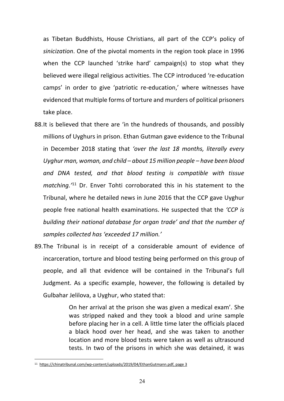as Tibetan Buddhists, House Christians, all part of the CCP's policy of *sinicization*. One of the pivotal moments in the region took place in 1996 when the CCP launched 'strike hard' campaign(s) to stop what they believed were illegal religious activities. The CCP introduced 're-education camps' in order to give 'patriotic re-education,' where witnesses have evidenced that multiple forms of torture and murders of political prisoners take place.

- 88.It is believed that there are 'in the hundreds of thousands, and possibly millions of Uyghurs in prison. Ethan Gutman gave evidence to the Tribunal in December 2018 stating that *'over the last 18 months, literally every Uyghur man, woman, and child – about 15 million people – have been blood and DNA tested, and that blood testing is compatible with tissue matching.'*<sup>11</sup> Dr. Enver Tohti corroborated this in his statement to the Tribunal, where he detailed news in June 2016 that the CCP gave Uyghur people free national health examinations. He suspected that the *'CCP is building their national database for organ trade' and that the number of samples collected has 'exceeded 17 million.'*
- 89.The Tribunal is in receipt of a considerable amount of evidence of incarceration, torture and blood testing being performed on this group of people, and all that evidence will be contained in the Tribunal's full Judgment. As a specific example, however, the following is detailed by Gulbahar Jelilova, a Uyghur, who stated that:

On her arrival at the prison she was given a medical exam'. She was stripped naked and they took a blood and urine sample before placing her in a cell. A little time later the officials placed a black hood over her head, and she was taken to another location and more blood tests were taken as well as ultrasound tests. In two of the prisons in which she was detained, it was

<sup>11</sup> https://chinatribunal.com/wp-content/uploads/2019/04/EthanGutmann.pdf, page 3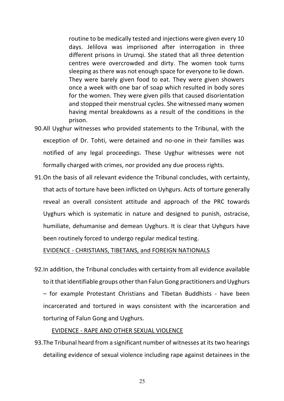routine to be medically tested and injections were given every 10 days. Jelilova was imprisoned after interrogation in three different prisons in Urumqi. She stated that all three detention centres were overcrowded and dirty. The women took turns sleeping as there was not enough space for everyone to lie down. They were barely given food to eat. They were given showers once a week with one bar of soap which resulted in body sores for the women. They were given pills that caused disorientation and stopped their menstrual cycles. She witnessed many women having mental breakdowns as a result of the conditions in the prison.

- 90.All Uyghur witnesses who provided statements to the Tribunal, with the exception of Dr. Tohti, were detained and no-one in their families was notified of any legal proceedings. These Uyghur witnesses were not formally charged with crimes, nor provided any due process rights.
- 91.On the basis of all relevant evidence the Tribunal concludes, with certainty, that acts of torture have been inflicted on Uyhgurs. Acts of torture generally reveal an overall consistent attitude and approach of the PRC towards Uyghurs which is systematic in nature and designed to punish, ostracise, humiliate, dehumanise and demean Uyghurs. It is clear that Uyhgurs have been routinely forced to undergo regular medical testing.

EVIDENCE - CHRISTIANS, TIBETANS, and FOREIGN NATIONALS

92.In addition, the Tribunal concludes with certainty from all evidence available to it that identifiable groups other than Falun Gong practitioners and Uyghurs – for example Protestant Christians and Tibetan Buddhists - have been incarcerated and tortured in ways consistent with the incarceration and torturing of Falun Gong and Uyghurs.

#### EVIDENCE - RAPE AND OTHER SEXUAL VIOLENCE

93.The Tribunal heard from a significant number of witnesses at its two hearings detailing evidence of sexual violence including rape against detainees in the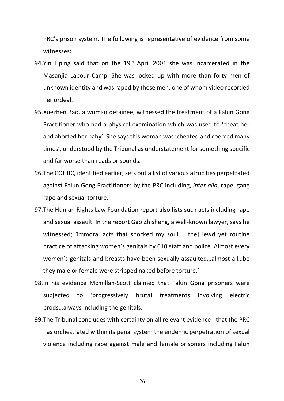PRC's prison system. The following is representative of evidence from some witnesses:

- 94.Yin Liping said that on the  $19<sup>th</sup>$  April 2001 she was incarcerated in the Masanjia Labour Camp. She was locked up with more than forty men of unknown identity and was raped by these men, one of whom video recorded her ordeal.
- 95.Xuezhen Bao, a woman detainee, witnessed the treatment of a Falun Gong Practitioner who had a physical examination which was used to 'cheat her and aborted her baby'. She says this woman was 'cheated and coerced many times', understood by the Tribunal as understatement for something specific and far worse than reads or sounds.
- 96.The COHRC, identified earlier, sets out a list of various atrocities perpetrated against Falun Gong Practitioners by the PRC including, *inter alia*, rape, gang rape and sexual torture.
- 97.The Human Rights Law Foundation report also lists such acts including rape and sexual assault. In the report Gao Zhisheng, a well-known lawyer, says he witnessed; 'immoral acts that shocked my soul… [the] lewd yet routine practice of attacking women's genitals by 610 staff and police. Almost every women's genitals and breasts have been sexually assaulted…almost all…be they male or female were stripped naked before torture.'
- 98.In his evidence Mcmillan-Scott claimed that Falun Gong prisoners were subjected to 'progressively brutal treatments involving electric prods…always including the genitals.
- 99.The Tribunal concludes with certainty on all relevant evidence that the PRC has orchestrated within its penal system the endemic perpetration of sexual violence including rape against male and female prisoners including Falun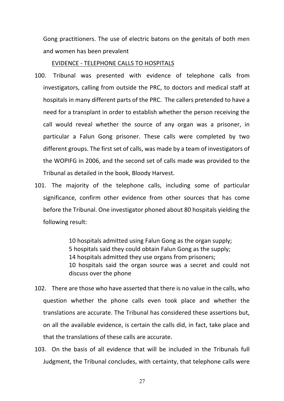Gong practitioners. The use of electric batons on the genitals of both men and women has been prevalent

#### EVIDENCE - TELEPHONE CALLS TO HOSPITALS

- 100. Tribunal was presented with evidence of telephone calls from investigators, calling from outside the PRC, to doctors and medical staff at hospitals in many different parts of the PRC. The callers pretended to have a need for a transplant in order to establish whether the person receiving the call would reveal whether the source of any organ was a prisoner, in particular a Falun Gong prisoner. These calls were completed by two different groups. The first set of calls, was made by a team of investigators of the WOPIFG in 2006, and the second set of calls made was provided to the Tribunal as detailed in the book, Bloody Harvest.
- 101. The majority of the telephone calls, including some of particular significance, confirm other evidence from other sources that has come before the Tribunal. One investigator phoned about 80 hospitals yielding the following result:

10 hospitals admitted using Falun Gong as the organ supply; 5 hospitals said they could obtain Falun Gong as the supply; 14 hospitals admitted they use organs from prisoners; 10 hospitals said the organ source was a secret and could not discuss over the phone

- 102. There are those who have asserted that there is no value in the calls, who question whether the phone calls even took place and whether the translations are accurate. The Tribunal has considered these assertions but, on all the available evidence, is certain the calls did, in fact, take place and that the translations of these calls are accurate.
- 103. On the basis of all evidence that will be included in the Tribunals full Judgment, the Tribunal concludes, with certainty, that telephone calls were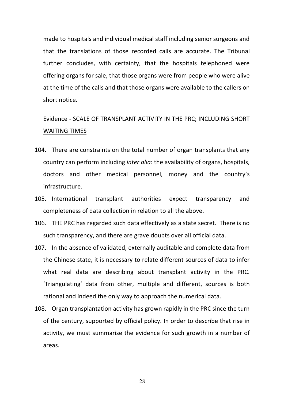made to hospitals and individual medical staff including senior surgeons and that the translations of those recorded calls are accurate. The Tribunal further concludes, with certainty, that the hospitals telephoned were offering organs for sale, that those organs were from people who were alive at the time of the calls and that those organs were available to the callers on short notice.

## Evidence - SCALE OF TRANSPLANT ACTIVITY IN THE PRC; INCLUDING SHORT WAITING TIMES

- 104. There are constraints on the total number of organ transplants that any country can perform including *inter alia*: the availability of organs, hospitals, doctors and other medical personnel, money and the country's infrastructure.
- 105. International transplant authorities expect transparency and completeness of data collection in relation to all the above.
- 106. THE PRC has regarded such data effectively as a state secret. There is no such transparency, and there are grave doubts over all official data.
- 107. In the absence of validated, externally auditable and complete data from the Chinese state, it is necessary to relate different sources of data to infer what real data are describing about transplant activity in the PRC. 'Triangulating' data from other, multiple and different, sources is both rational and indeed the only way to approach the numerical data.
- 108. Organ transplantation activity has grown rapidly in the PRC since the turn of the century, supported by official policy. In order to describe that rise in activity, we must summarise the evidence for such growth in a number of areas.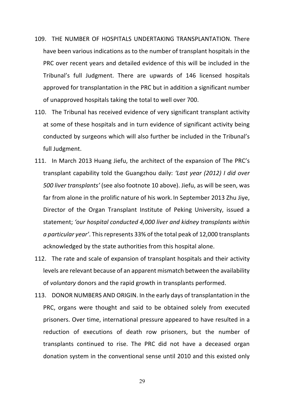- 109. THE NUMBER OF HOSPITALS UNDERTAKING TRANSPLANTATION. There have been various indications as to the number of transplant hospitals in the PRC over recent years and detailed evidence of this will be included in the Tribunal's full Judgment. There are upwards of 146 licensed hospitals approved for transplantation in the PRC but in addition a significant number of unapproved hospitals taking the total to well over 700.
- 110. The Tribunal has received evidence of very significant transplant activity at some of these hospitals and in turn evidence of significant activity being conducted by surgeons which will also further be included in the Tribunal's full Judgment.
- 111. In March 2013 Huang Jiefu, the architect of the expansion of The PRC's transplant capability told the Guangzhou daily: *'Last year (2012) I did over 500 liver transplants'* (see also footnote 10 above). Jiefu, as will be seen, was far from alone in the prolific nature of his work. In September 2013 Zhu Jiye, Director of the Organ Transplant Institute of Peking University, issued a statement; *'our hospital conducted 4,000 liver and kidney transplants within a particular year'*. This represents 33% of the total peak of 12,000 transplants acknowledged by the state authorities from this hospital alone.
- 112. The rate and scale of expansion of transplant hospitals and their activity levels are relevant because of an apparent mismatch between the availability of *voluntary* donors and the rapid growth in transplants performed.
- 113. DONOR NUMBERS AND ORIGIN. In the early days of transplantation in the PRC, organs were thought and said to be obtained solely from executed prisoners. Over time, international pressure appeared to have resulted in a reduction of executions of death row prisoners, but the number of transplants continued to rise. The PRC did not have a deceased organ donation system in the conventional sense until 2010 and this existed only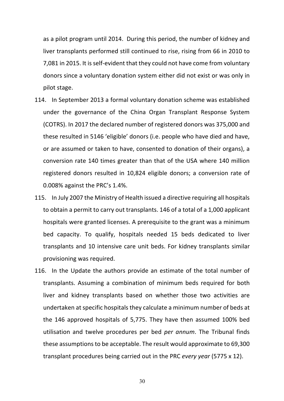as a pilot program until 2014. During this period, the number of kidney and liver transplants performed still continued to rise, rising from 66 in 2010 to 7,081 in 2015. It is self-evident that they could not have come from voluntary donors since a voluntary donation system either did not exist or was only in pilot stage.

- 114. In September 2013 a formal voluntary donation scheme was established under the governance of the China Organ Transplant Response System (COTRS). In 2017 the declared number of registered donors was 375,000 and these resulted in 5146 'eligible' donors (i.e. people who have died and have, or are assumed or taken to have, consented to donation of their organs), a conversion rate 140 times greater than that of the USA where 140 million registered donors resulted in 10,824 eligible donors; a conversion rate of 0.008% against the PRC's 1.4%.
- 115. In July 2007 the Ministry of Health issued a directive requiring all hospitals to obtain a permit to carry out transplants. 146 of a total of a 1,000 applicant hospitals were granted licenses. A prerequisite to the grant was a minimum bed capacity. To qualify, hospitals needed 15 beds dedicated to liver transplants and 10 intensive care unit beds. For kidney transplants similar provisioning was required.
- 116. In the Update the authors provide an estimate of the total number of transplants. Assuming a combination of minimum beds required for both liver and kidney transplants based on whether those two activities are undertaken at specific hospitals they calculate a minimum number of beds at the 146 approved hospitals of 5,775. They have then assumed 100% bed utilisation and twelve procedures per bed *per annum*. The Tribunal finds these assumptions to be acceptable. The result would approximate to 69,300 transplant procedures being carried out in the PRC *every year* (5775 x 12).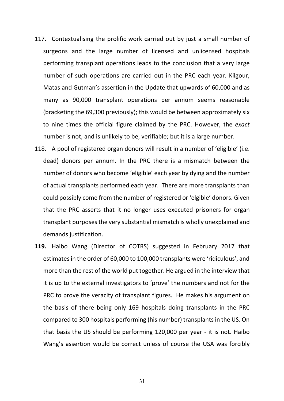- 117. Contextualising the prolific work carried out by just a small number of surgeons and the large number of licensed and unlicensed hospitals performing transplant operations leads to the conclusion that a very large number of such operations are carried out in the PRC each year. Kilgour, Matas and Gutman's assertion in the Update that upwards of 60,000 and as many as 90,000 transplant operations per annum seems reasonable (bracketing the 69,300 previously); this would be between approximately six to nine times the official figure claimed by the PRC. However, the *exact* number is not, and is unlikely to be, verifiable; but it is a large number.
- 118. A pool of registered organ donors will result in a number of 'eligible' (i.e. dead) donors per annum. In the PRC there is a mismatch between the number of donors who become 'eligible' each year by dying and the number of actual transplants performed each year. There are more transplants than could possibly come from the number of registered or 'elgible' donors. Given that the PRC asserts that it no longer uses executed prisoners for organ transplant purposes the very substantial mismatch is wholly unexplained and demands justification.
- **119.** Haibo Wang (Director of COTRS) suggested in February 2017 that estimates in the order of 60,000 to 100,000 transplants were 'ridiculous', and more than the rest of the world put together. He argued in the interview that it is up to the external investigators to 'prove' the numbers and not for the PRC to prove the veracity of transplant figures. He makes his argument on the basis of there being only 169 hospitals doing transplants in the PRC compared to 300 hospitals performing (his number) transplants in the US. On that basis the US should be performing 120,000 per year - it is not. Haibo Wang's assertion would be correct unless of course the USA was forcibly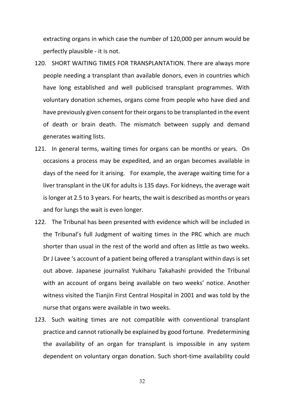extracting organs in which case the number of 120,000 per annum would be perfectly plausible - it is not.

- 120. SHORT WAITING TIMES FOR TRANSPLANTATION. There are always more people needing a transplant than available donors, even in countries which have long established and well publicised transplant programmes. With voluntary donation schemes, organs come from people who have died and have previously given consent for their organs to be transplanted in the event of death or brain death. The mismatch between supply and demand generates waiting lists.
- 121. In general terms, waiting times for organs can be months or years. On occasions a process may be expedited, and an organ becomes available in days of the need for it arising. For example, the average waiting time for a liver transplant in the UK for adults is 135 days. For kidneys, the average wait is longer at 2.5 to 3 years. For hearts, the wait is described as months or years and for lungs the wait is even longer.
- 122. The Tribunal has been presented with evidence which will be included in the Tribunal's full Judgment of waiting times in the PRC which are much shorter than usual in the rest of the world and often as little as two weeks. Dr J Lavee 's account of a patient being offered a transplant within days is set out above. Japanese journalist Yukiharu Takahashi provided the Tribunal with an account of organs being available on two weeks' notice. Another witness visited the Tianjin First Central Hospital in 2001 and was told by the nurse that organs were available in two weeks.
- 123. Such waiting times are not compatible with conventional transplant practice and cannot rationally be explained by good fortune. Predetermining the availability of an organ for transplant is impossible in any system dependent on voluntary organ donation. Such short-time availability could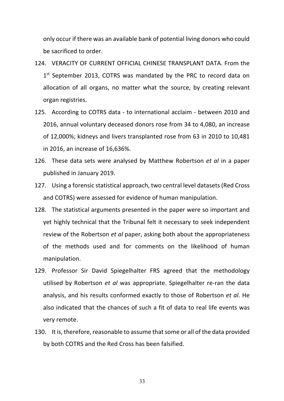only occur if there was an available bank of potential living donors who could be sacrificed to order.

- 124. VERACITY OF CURRENT OFFICIAL CHINESE TRANSPLANT DATA. From the 1<sup>st</sup> September 2013, COTRS was mandated by the PRC to record data on allocation of all organs, no matter what the source, by creating relevant organ registries.
- 125. According to COTRS data to international acclaim between 2010 and 2016, annual voluntary deceased donors rose from 34 to 4,080, an increase of 12,000%; kidneys and livers transplanted rose from 63 in 2010 to 10,481 in 2016, an increase of 16,636%.
- 126. These data sets were analysed by Matthew Robertson *et al* in a paper published in January 2019.
- 127. Using a forensic statistical approach, two central level datasets (Red Cross and COTRS) were assessed for evidence of human manipulation.
- 128. The statistical arguments presented in the paper were so important and yet highly technical that the Tribunal felt it necessary to seek independent review of the Robertson *et al* paper, asking both about the appropriateness of the methods used and for comments on the likelihood of human manipulation.
- 129. Professor Sir David Spiegelhalter FRS agreed that the methodology utilised by Robertson *et al* was appropriate. Spiegelhalter re-ran the data analysis, and his results conformed exactly to those of Robertson *et al*. He also indicated that the chances of such a fit of data to real life events was very remote.
- 130. It is, therefore, reasonable to assume that some or all of the data provided by both COTRS and the Red Cross has been falsified.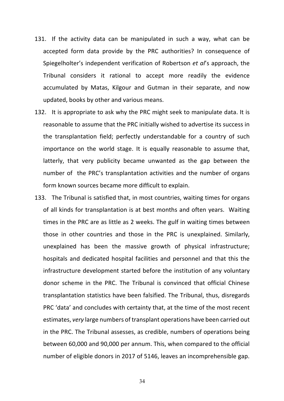- 131. If the activity data can be manipulated in such a way, what can be accepted form data provide by the PRC authorities? In consequence of Spiegelholter's independent verification of Robertson *et al*'s approach, the Tribunal considers it rational to accept more readily the evidence accumulated by Matas, Kilgour and Gutman in their separate, and now updated, books by other and various means.
- 132. It is appropriate to ask why the PRC might seek to manipulate data. It is reasonable to assume that the PRC initially wished to advertise its success in the transplantation field; perfectly understandable for a country of such importance on the world stage. It is equally reasonable to assume that, latterly, that very publicity became unwanted as the gap between the number of the PRC's transplantation activities and the number of organs form known sources became more difficult to explain.
- 133. The Tribunal is satisfied that, in most countries, waiting times for organs of all kinds for transplantation is at best months and often years. Waiting times in the PRC are as little as 2 weeks. The gulf in waiting times between those in other countries and those in the PRC is unexplained. Similarly, unexplained has been the massive growth of physical infrastructure; hospitals and dedicated hospital facilities and personnel and that this the infrastructure development started before the institution of any voluntary donor scheme in the PRC. The Tribunal is convinced that official Chinese transplantation statistics have been falsified. The Tribunal, thus, disregards PRC 'data' and concludes with certainty that, at the time of the most recent estimates, *very* large numbers of transplant operations have been carried out in the PRC. The Tribunal assesses, as credible, numbers of operations being between 60,000 and 90,000 per annum. This, when compared to the official number of eligible donors in 2017 of 5146, leaves an incomprehensible gap.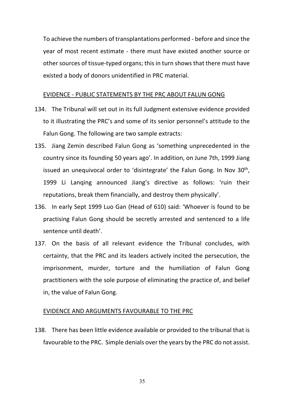To achieve the numbers of transplantations performed - before and since the year of most recent estimate - there must have existed another source or other sources of tissue-typed organs; this in turn shows that there must have existed a body of donors unidentified in PRC material.

## EVIDENCE - PUBLIC STATEMENTS BY THE PRC ABOUT FALUN GONG

- 134. The Tribunal will set out in its full Judgment extensive evidence provided to it illustrating the PRC's and some of its senior personnel's attitude to the Falun Gong. The following are two sample extracts:
- 135. Jiang Zemin described Falun Gong as 'something unprecedented in the country since its founding 50 years ago'. In addition, on June 7th, 1999 Jiang issued an unequivocal order to 'disintegrate' the Falun Gong. In Nov 30<sup>th</sup>, 1999 Li Lanqing announced Jiang's directive as follows: 'ruin their reputations, break them financially, and destroy them physically'.
- 136. In early Sept 1999 Luo Gan (Head of 610) said: 'Whoever is found to be practising Falun Gong should be secretly arrested and sentenced to a life sentence until death'.
- 137. On the basis of all relevant evidence the Tribunal concludes, with certainty, that the PRC and its leaders actively incited the persecution, the imprisonment, murder, torture and the humiliation of Falun Gong practitioners with the sole purpose of eliminating the practice of, and belief in, the value of Falun Gong.

#### EVIDENCE AND ARGUMENTS FAVOURABLE TO THE PRC

138. There has been little evidence available or provided to the tribunal that is favourable to the PRC. Simple denials over the years by the PRC do not assist.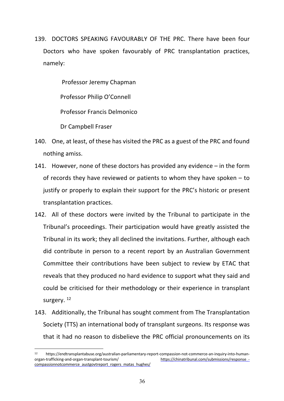139. DOCTORS SPEAKING FAVOURABLY OF THE PRC. There have been four Doctors who have spoken favourably of PRC transplantation practices, namely:

Professor Jeremy Chapman

Professor Philip O'Connell

Professor Francis Delmonico

Dr Campbell Fraser

- 140. One, at least, of these has visited the PRC as a guest of the PRC and found nothing amiss.
- 141. However, none of these doctors has provided any evidence in the form of records they have reviewed or patients to whom they have spoken – to justify or properly to explain their support for the PRC's historic or present transplantation practices.
- 142. All of these doctors were invited by the Tribunal to participate in the Tribunal's proceedings. Their participation would have greatly assisted the Tribunal in its work; they all declined the invitations. Further, although each did contribute in person to a recent report by an Australian Government Committee their contributions have been subject to review by ETAC that reveals that they produced no hard evidence to support what they said and could be criticised for their methodology or their experience in transplant surgery.<sup>12</sup>
- 143. Additionally, the Tribunal has sought comment from The Transplantation Society (TTS) an international body of transplant surgeons. Its response was that it had no reason to disbelieve the PRC official pronouncements on its

<sup>12</sup> https://endtransplantabuse.org/australian-parliamentary-report-compassion-not-commerce-an-inquiry-into-humanorgan-trafficking-and-organ-transplant-tourism/ https://chinatribunal.com/submissions/response\_ compassionnotcommerce\_austgovtreport\_rogers\_matas\_hughes/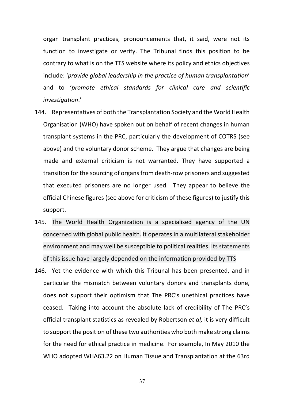organ transplant practices, pronouncements that, it said, were not its function to investigate or verify. The Tribunal finds this position to be contrary to what is on the TTS website where its policy and ethics objectives include: '*provide global leadership in the practice of human transplantation*' and to '*promote ethical standards for clinical care and scientific investigation*.'

- 144. Representatives of both the Transplantation Society and the World Health Organisation (WHO) have spoken out on behalf of recent changes in human transplant systems in the PRC, particularly the development of COTRS (see above) and the voluntary donor scheme. They argue that changes are being made and external criticism is not warranted. They have supported a transition for the sourcing of organs from death-row prisoners and suggested that executed prisoners are no longer used. They appear to believe the official Chinese figures (see above for criticism of these figures) to justify this support.
- 145. The World Health Organization is a specialised agency of the UN concerned with global public health. It operates in a multilateral stakeholder environment and may well be susceptible to political realities. Its statements of this issue have largely depended on the information provided by TTS
- 146. Yet the evidence with which this Tribunal has been presented, and in particular the mismatch between voluntary donors and transplants done, does not support their optimism that The PRC's unethical practices have ceased. Taking into account the absolute lack of credibility of The PRC's official transplant statistics as revealed by Robertson *et al,* it is very difficult to support the position of these two authorities who both make strong claims for the need for ethical practice in medicine. For example, In May 2010 the WHO adopted WHA63.22 on Human Tissue and Transplantation at the 63rd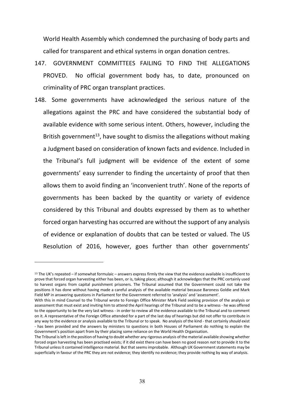World Health Assembly which condemned the purchasing of body parts and called for transparent and ethical systems in organ donation centres.

- 147. GOVERNMENT COMMITTEES FAILING TO FIND THE ALLEGATIONS PROVED. No official government body has, to date, pronounced on criminality of PRC organ transplant practices.
- 148. Some governments have acknowledged the serious nature of the allegations against the PRC and have considered the substantial body of available evidence with some serious intent. Others, however, including the British government<sup>13</sup>, have sought to dismiss the allegations without making a Judgment based on consideration of known facts and evidence. Included in the Tribunal's full judgment will be evidence of the extent of some governments' easy surrender to finding the *un*certainty of proof that then allows them to avoid finding an 'inconvenient truth'. None of the reports of governments has been backed by the quantity or variety of evidence considered by this Tribunal and doubts expressed by them as to whether forced organ harvesting has occurred are without the support of any analysis of evidence or explanation of doubts that can be tested or valued. The US Resolution of 2016, however, goes further than other governments'

<sup>&</sup>lt;sup>13</sup> The UK's repeated – if somewhat formulaic – answers express firmly the view that the evidence available is insufficient to prove that forced organ harvesting either has been, or is, taking place; although it acknowledges that the PRC certainly used to harvest organs from capital punishment prisoners. The Tribunal assumed that the Government could not take the positions it has done without having made a careful analysis of the available material because Baroness Goldie and Mark Field MP in answering questions in Parliament for the Government referred to 'analysis' and 'assessment'.

With this in mind Counsel to the Tribunal wrote to Foreign Office Minister Mark Field seeking provision of the analysis or assessment that must exist and inviting him to attend the April hearings of the Tribunal and to be a witness - he was offered to the opportunity to be the very last witness - in order to review all the evidence available to the Tribunal and to comment on it. A representative of the Foreign Office attended for a part of the last day of hearings but did not offer to contribute in any way to the evidence or analysis available to the Tribunal or to speak. No analysis of the kind - that certainly *should* exist - has been provided and the answers by ministers to questions in both Houses of Parliament do nothing to explain the Government's position apart from by their placing some reliance on the World Health Organisation.

The Tribunal is left in the position of having to doubt whether any rigorous analysis of the material available showing whether forced organ harvesting has been practised exists; if it did exist there can have been no good reason *not* to provide it to the Tribunal unless it contained intelligence material. But that seems improbable. Although UK Government statements may be superficially in favour of the PRC they are not evidence; they identify no evidence; they provide nothing by way of analysis.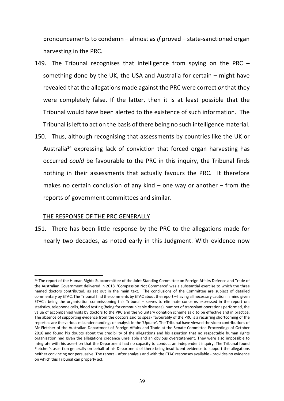pronouncements to condemn – almost as *if* proved – state-sanctioned organ harvesting in the PRC.

- 149. The Tribunal recognises that intelligence from spying on the PRC something done by the UK, the USA and Australia for certain – might have revealed that the allegations made against the PRC were correct *or* that they were completely false. If the latter, then it is at least possible that the Tribunal would have been alerted to the existence of such information. The Tribunal is left to act on the basis of there being no such intelligence material.
- 150. Thus, although recognising that assessments by countries like the UK or Australia<sup>14</sup> expressing lack of conviction that forced organ harvesting has occurred *could* be favourable to the PRC in this inquiry, the Tribunal finds nothing in their assessments that actually favours the PRC. It therefore makes no certain conclusion of any kind  $-$  one way or another  $-$  from the reports of government committees and similar.

## THE RESPONSE OF THE PRC GENERALLY

 $\overline{a}$ 

151. There has been little response by the PRC to the allegations made for nearly two decades, as noted early in this Judgment. With evidence now

<sup>&</sup>lt;sup>14</sup> The report of the Human Rights Subcommittee of the Joint Standing Committee on Foreign Affairs Defence and Trade of the Australian Government delivered in 2018, 'Compassion Not Commerce' was a substantial exercise to which the three named doctors contributed, as set out in the main text. The conclusions of the Committee are subject of detailed commentary by ETAC. The Tribunal find the comments by ETAC about the report – having all necessary caution in mind given ETAC's being the organisation commissioning this Tribunal – serves to eliminate concerns expressed in the report on: statistics, telephone calls, blood testing (being for communicable diseases), number of transplant operations performed, the value of accompanied visits by doctors to the PRC and the voluntary donation scheme said to be effective and in practice. The absence of supporting evidence from the doctors said to speak favourably of the PRC is a recurring shortcoming of the report as are the various misunderstandings of analysis in the 'Update'. The Tribunal have viewed the video contributions of Mr Fletcher of the Australian Department of Foreign Affairs and Trade at the Senate Committee Proceedings of October 2016 and found his doubts about the credibility of the allegations and his assertion that no respectable human rights organisation had given the allegations credence unreliable and an obvious overstatement. They were also impossible to integrate with his assertion that the Department had no capacity to conduct an independent inquiry. The Tribunal found Fletcher's assertion generally on behalf of his Department of there being insufficient evidence to support the allegations neither convincing nor persuasive. The report – after analysis and with the ETAC responses available - provides no evidence on which this Tribunal can properly act.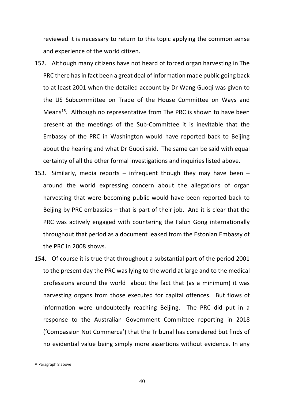reviewed it is necessary to return to this topic applying the common sense and experience of the world citizen.

- 152. Although many citizens have not heard of forced organ harvesting in The PRC there has in fact been a great deal of information made public going back to at least 2001 when the detailed account by Dr Wang Guoqi was given to the US Subcommittee on Trade of the House Committee on Ways and Means<sup>15</sup>. Although no representative from The PRC is shown to have been present at the meetings of the Sub-Committee it is inevitable that the Embassy of the PRC in Washington would have reported back to Beijing about the hearing and what Dr Guoci said. The same can be said with equal certainty of all the other formal investigations and inquiries listed above.
- 153. Similarly, media reports infrequent though they may have been around the world expressing concern about the allegations of organ harvesting that were becoming public would have been reported back to Beijing by PRC embassies – that is part of their job. And it is clear that the PRC was actively engaged with countering the Falun Gong internationally throughout that period as a document leaked from the Estonian Embassy of the PRC in 2008 shows.
- 154. Of course it is true that throughout a substantial part of the period 2001 to the present day the PRC was lying to the world at large and to the medical professions around the world about the fact that (as a minimum) it was harvesting organs from those executed for capital offences. But flows of information were undoubtedly reaching Beijing. The PRC did put in a response to the Australian Government Committee reporting in 2018 ('Compassion Not Commerce') that the Tribunal has considered but finds of no evidential value being simply more assertions without evidence. In any

<sup>15</sup> Paragraph 8 above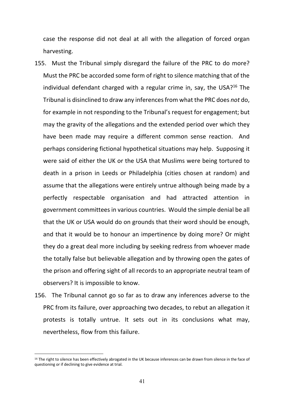case the response did not deal at all with the allegation of forced organ harvesting.

- 155. Must the Tribunal simply disregard the failure of the PRC to do more? Must the PRC be accorded some form of right to silence matching that of the individual defendant charged with a regular crime in, say, the USA?<sup>16</sup> The Tribunal is disinclined to draw any inferences from what the PRC does *not* do, for example in not responding to the Tribunal's request for engagement; but may the gravity of the allegations and the extended period over which they have been made may require a different common sense reaction. And perhaps considering fictional hypothetical situations may help. Supposing it were said of either the UK or the USA that Muslims were being tortured to death in a prison in Leeds or Philadelphia (cities chosen at random) and assume that the allegations were entirely untrue although being made by a perfectly respectable organisation and had attracted attention in government committees in various countries. Would the simple denial be all that the UK or USA would do on grounds that their word should be enough, and that it would be to honour an impertinence by doing more? Or might they do a great deal more including by seeking redress from whoever made the totally false but believable allegation and by throwing open the gates of the prison and offering sight of all records to an appropriate neutral team of observers? It is impossible to know.
- 156. The Tribunal cannot go so far as to draw any inferences adverse to the PRC from its failure, over approaching two decades, to rebut an allegation it protests is totally untrue. It sets out in its conclusions what may, nevertheless, flow from this failure.

<sup>&</sup>lt;sup>16</sup> The right to silence has been effectively abrogated in the UK because inferences can be drawn from silence in the face of questioning or if declining to give evidence at trial.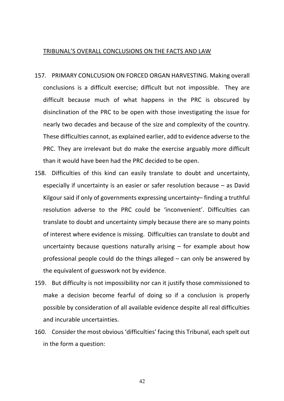#### TRIBUNAL'S OVERALL CONCLUSIONS ON THE FACTS AND LAW

- 157. PRIMARY CONLCUSION ON FORCED ORGAN HARVESTING. Making overall conclusions is a difficult exercise; difficult but not impossible. They are difficult because much of what happens in the PRC is obscured by disinclination of the PRC to be open with those investigating the issue for nearly two decades and because of the size and complexity of the country. These difficulties cannot, as explained earlier, add to evidence adverse to the PRC. They are irrelevant but do make the exercise arguably more difficult than it would have been had the PRC decided to be open.
- 158. Difficulties of this kind can easily translate to doubt and uncertainty, especially if uncertainty is an easier or safer resolution because – as David Kilgour said if only of governments expressing uncertainty– finding a truthful resolution adverse to the PRC could be 'inconvenient'. Difficulties can translate to doubt and uncertainty simply because there are so many points of interest where evidence is missing. Difficulties can translate to doubt and uncertainty because questions naturally arising  $-$  for example about how professional people could do the things alleged – can only be answered by the equivalent of guesswork not by evidence.
- 159. But difficulty is not impossibility nor can it justify those commissioned to make a decision become fearful of doing so if a conclusion is properly possible by consideration of all available evidence despite all real difficulties and incurable uncertainties.
- 160. Consider the most obvious 'difficulties' facing this Tribunal, each spelt out in the form a question: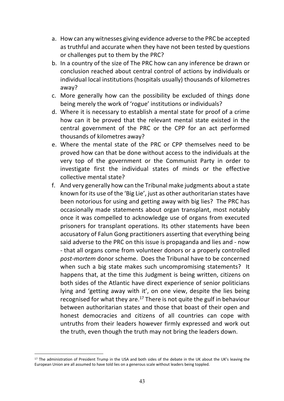- a. How can any witnesses giving evidence adverse to the PRC be accepted as truthful and accurate when they have not been tested by questions or challenges put to them by the PRC?
- b. In a country of the size of The PRC how can any inference be drawn or conclusion reached about central control of actions by individuals or individual local institutions (hospitals usually) thousands of kilometres away?
- c. More generally how can the possibility be excluded of things done being merely the work of 'rogue' institutions or individuals?
- d. Where it is necessary to establish a mental state for proof of a crime how can it be proved that the relevant mental state existed in the central government of the PRC or the CPP for an act performed thousands of kilometres away?
- e. Where the mental state of the PRC or CPP themselves need to be proved how can that be done without access to the individuals at the very top of the government or the Communist Party in order to investigate first the individual states of minds or the effective collective mental state?
- f. And very generally how can the Tribunal make judgments about a state known for its use of the 'Big Lie', just as other authoritarian states have been notorious for using and getting away with big lies? The PRC has occasionally made statements about organ transplant, most notably once it was compelled to acknowledge use of organs from executed prisoners for transplant operations. Its other statements have been accusatory of Falun Gong practitioners asserting that everything being said adverse to the PRC on this issue is propaganda and lies and - now - that all organs come from volunteer donors or a properly controlled *post-mortem* donor scheme. Does the Tribunal have to be concerned when such a big state makes such uncompromising statements? It happens that, at the time this Judgment is being written, citizens on both sides of the Atlantic have direct experience of senior politicians lying and 'getting away with it', on one view, despite the lies being recognised for what they are. $17$  There is not quite the gulf in behaviour between authoritarian states and those that boast of their open and honest democracies and citizens of all countries can cope with untruths from their leaders however firmly expressed and work out the truth, even though the truth may not bring the leaders down.

<sup>&</sup>lt;sup>17</sup> The administration of President Trump in the USA and both sides of the debate in the UK about the UK's leaving the European Union are all assumed to have told lies on a generous scale without leaders being toppled.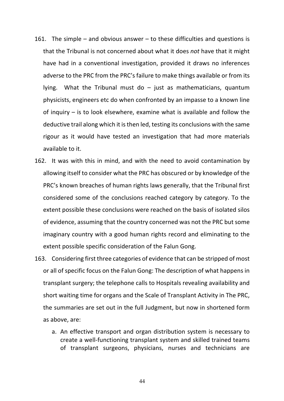- 161. The simple and obvious answer to these difficulties and questions is that the Tribunal is not concerned about what it does *not* have that it might have had in a conventional investigation, provided it draws no inferences adverse to the PRC from the PRC's failure to make things available or from its lying. What the Tribunal must do  $-$  just as mathematicians, quantum physicists, engineers etc do when confronted by an impasse to a known line of inquiry – is to look elsewhere, examine what is available and follow the deductive trail along which it is then led, testing its conclusions with the same rigour as it would have tested an investigation that had more materials available to it.
- 162. It was with this in mind, and with the need to avoid contamination by allowing itself to consider what the PRC has obscured or by knowledge of the PRC's known breaches of human rights laws generally, that the Tribunal first considered some of the conclusions reached category by category. To the extent possible these conclusions were reached on the basis of isolated silos of evidence, assuming that the country concerned was not the PRC but some imaginary country with a good human rights record and eliminating to the extent possible specific consideration of the Falun Gong.
- 163. Considering first three categories of evidence that can be stripped of most or all of specific focus on the Falun Gong: The description of what happens in transplant surgery; the telephone calls to Hospitals revealing availability and short waiting time for organs and the Scale of Transplant Activity in The PRC, the summaries are set out in the full Judgment, but now in shortened form as above, are:
	- a. An effective transport and organ distribution system is necessary to create a well-functioning transplant system and skilled trained teams of transplant surgeons, physicians, nurses and technicians are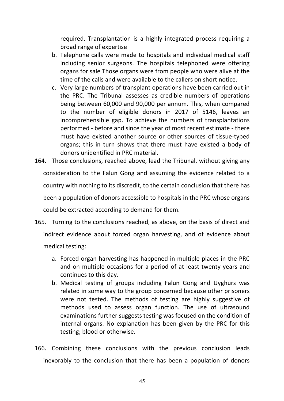required. Transplantation is a highly integrated process requiring a broad range of expertise

- b. Telephone calls were made to hospitals and individual medical staff including senior surgeons. The hospitals telephoned were offering organs for sale Those organs were from people who were alive at the time of the calls and were available to the callers on short notice.
- c. Very large numbers of transplant operations have been carried out in the PRC. The Tribunal assesses as credible numbers of operations being between 60,000 and 90,000 per annum. This, when compared to the number of eligible donors in 2017 of 5146, leaves an incomprehensible gap. To achieve the numbers of transplantations performed - before and since the year of most recent estimate - there must have existed another source or other sources of tissue-typed organs; this in turn shows that there must have existed a body of donors unidentified in PRC material.
- 164. Those conclusions, reached above, lead the Tribunal, without giving any consideration to the Falun Gong and assuming the evidence related to a country with nothing to its discredit, to the certain conclusion that there has been a population of donors accessible to hospitals in the PRC whose organs could be extracted according to demand for them.
- 165. Turning to the conclusions reached, as above, on the basis of direct and indirect evidence about forced organ harvesting, and of evidence about medical testing:
	- a. Forced organ harvesting has happened in multiple places in the PRC and on multiple occasions for a period of at least twenty years and continues to this day.
	- b. Medical testing of groups including Falun Gong and Uyghurs was related in some way to the group concerned because other prisoners were not tested. The methods of testing are highly suggestive of methods used to assess organ function. The use of ultrasound examinations further suggests testing was focused on the condition of internal organs. No explanation has been given by the PRC for this testing; blood or otherwise.
- 166. Combining these conclusions with the previous conclusion leads inexorably to the conclusion that there has been a population of donors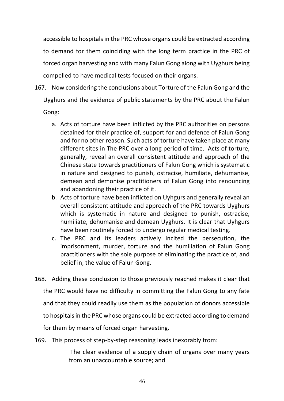accessible to hospitals in the PRC whose organs could be extracted according to demand for them coinciding with the long term practice in the PRC of forced organ harvesting and with many Falun Gong along with Uyghurs being compelled to have medical tests focused on their organs.

- 167. Now considering the conclusions about Torture of the Falun Gong and the Uyghurs and the evidence of public statements by the PRC about the Falun Gong:
	- a. Acts of torture have been inflicted by the PRC authorities on persons detained for their practice of, support for and defence of Falun Gong and for no other reason. Such acts of torture have taken place at many different sites in The PRC over a long period of time. Acts of torture, generally, reveal an overall consistent attitude and approach of the Chinese state towards practitioners of Falun Gong which is systematic in nature and designed to punish, ostracise, humiliate, dehumanise, demean and demonise practitioners of Falun Gong into renouncing and abandoning their practice of it.
	- b. Acts of torture have been inflicted on Uyhgurs and generally reveal an overall consistent attitude and approach of the PRC towards Uyghurs which is systematic in nature and designed to punish, ostracise, humiliate, dehumanise and demean Uyghurs. It is clear that Uyhgurs have been routinely forced to undergo regular medical testing.
	- c. The PRC and its leaders actively incited the persecution, the imprisonment, murder, torture and the humiliation of Falun Gong practitioners with the sole purpose of eliminating the practice of, and belief in, the value of Falun Gong.
- 168. Adding these conclusion to those previously reached makes it clear that the PRC would have no difficulty in committing the Falun Gong to any fate and that they could readily use them as the population of donors accessible to hospitals in the PRC whose organs could be extracted according to demand for them by means of forced organ harvesting.
- 169. This process of step-by-step reasoning leads inexorably from:

The clear evidence of a supply chain of organs over many years from an unaccountable source; and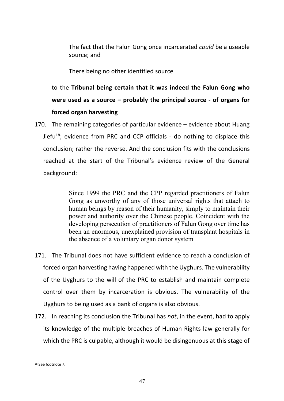The fact that the Falun Gong once incarcerated *could* be a useable source; and

There being no other identified source

to the **Tribunal being certain that it was indeed the Falun Gong who were used as a source – probably the principal source - of organs for forced organ harvesting**

170. The remaining categories of particular evidence – evidence about Huang Jiefu<sup>18</sup>; evidence from PRC and CCP officials - do nothing to displace this conclusion; rather the reverse. And the conclusion fits with the conclusions reached at the start of the Tribunal's evidence review of the General background:

> Since 1999 the PRC and the CPP regarded practitioners of Falun Gong as unworthy of any of those universal rights that attach to human beings by reason of their humanity, simply to maintain their power and authority over the Chinese people. Coincident with the developing persecution of practitioners of Falun Gong over time has been an enormous, unexplained provision of transplant hospitals in the absence of a voluntary organ donor system

- 171. The Tribunal does not have sufficient evidence to reach a conclusion of forced organ harvesting having happened with the Uyghurs. The vulnerability of the Uyghurs to the will of the PRC to establish and maintain complete control over them by incarceration is obvious. The vulnerability of the Uyghurs to being used as a bank of organs is also obvious.
- 172. In reaching its conclusion the Tribunal has *not*, in the event, had to apply its knowledge of the multiple breaches of Human Rights law generally for which the PRC is culpable, although it would be disingenuous at this stage of

<sup>18</sup> See footnote 7.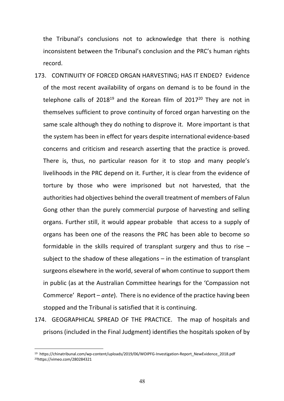the Tribunal's conclusions not to acknowledge that there is nothing inconsistent between the Tribunal's conclusion and the PRC's human rights record.

- 173. CONTINUITY OF FORCED ORGAN HARVESTING; HAS IT ENDED? Evidence of the most recent availability of organs on demand is to be found in the telephone calls of  $2018^{19}$  and the Korean film of  $2017^{20}$  They are not in themselves sufficient to prove continuity of forced organ harvesting on the same scale although they do nothing to disprove it. More important is that the system has been in effect for years despite international evidence-based concerns and criticism and research asserting that the practice is proved. There is, thus, no particular reason for it to stop and many people's livelihoods in the PRC depend on it. Further, it is clear from the evidence of torture by those who were imprisoned but not harvested, that the authorities had objectives behind the overall treatment of members of Falun Gong other than the purely commercial purpose of harvesting and selling organs. Further still, it would appear probable that access to a supply of organs has been one of the reasons the PRC has been able to become so formidable in the skills required of transplant surgery and thus to rise – subject to the shadow of these allegations – in the estimation of transplant surgeons elsewhere in the world, several of whom continue to support them in public (as at the Australian Committee hearings for the 'Compassion not Commerce' Report – *ante*). There is no evidence of the practice having been stopped and the Tribunal is satisfied that it is continuing.
- 174. GEOGRAPHICAL SPREAD OF THE PRACTICE. The map of hospitals and prisons (included in the Final Judgment) identifies the hospitals spoken of by

<sup>19</sup> https://chinatribunal.com/wp-content/uploads/2019/06/WOIPFG-Investigation-Report\_NewEvidence\_2018.pdf 20https://vimeo.com/280284321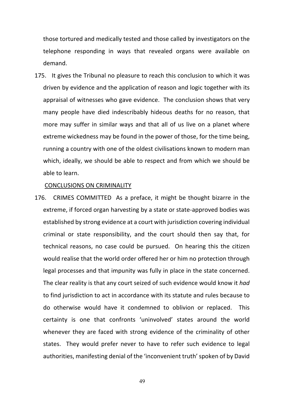those tortured and medically tested and those called by investigators on the telephone responding in ways that revealed organs were available on demand.

175. It gives the Tribunal no pleasure to reach this conclusion to which it was driven by evidence and the application of reason and logic together with its appraisal of witnesses who gave evidence. The conclusion shows that very many people have died indescribably hideous deaths for no reason, that more may suffer in similar ways and that all of us live on a planet where extreme wickedness may be found in the power of those, for the time being, running a country with one of the oldest civilisations known to modern man which, ideally, we should be able to respect and from which we should be able to learn.

#### CONCLUSIONS ON CRIMINALITY

176. CRIMES COMMITTED As a preface, it might be thought bizarre in the extreme, if forced organ harvesting by a state or state-approved bodies was established by strong evidence at a court with jurisdiction covering individual criminal or state responsibility, and the court should then say that, for technical reasons, no case could be pursued. On hearing this the citizen would realise that the world order offered her or him no protection through legal processes and that impunity was fully in place in the state concerned. The clear reality is that any court seized of such evidence would know it *had* to find jurisdiction to act in accordance with its statute and rules because to do otherwise would have it condemned to oblivion or replaced. This certainty is one that confronts 'uninvolved' states around the world whenever they are faced with strong evidence of the criminality of other states. They would prefer never to have to refer such evidence to legal authorities, manifesting denial of the 'inconvenient truth' spoken of by David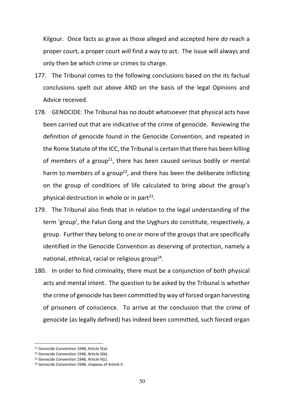Kilgour. Once facts as grave as those alleged and accepted here *do* reach a proper court, a proper court *will* find a way to act. The issue will always and only then be which crime or crimes to charge.

- 177. The Tribunal comes to the following conclusions based on the its factual conclusions spelt out above AND on the basis of the legal Opinions and Advice received.
- 178. GENOCIDE: The Tribunal has no doubt whatsoever that physical acts have been carried out that are indicative of the crime of genocide. Reviewing the definition of genocide found in the Genocide Convention, and repeated in the Rome Statute of the ICC, the Tribunal is certain that there has been killing of members of a group<sup>21</sup>, there has been caused serious bodily or mental harm to members of a group<sup>22</sup>, and there has been the deliberate inflicting on the group of conditions of life calculated to bring about the group's physical destruction in whole or in part $^{23}$ .
- 179. The Tribunal also finds that in relation to the legal understanding of the term 'group', the Falun Gong and the Uyghurs do constitute, respectively, a group. Further they belong to one or more of the groups that are specifically identified in the Genocide Convention as deserving of protection, namely a national, ethnical, racial or religious group<sup>24</sup>.
- 180. In order to find criminality, there must be a conjunction of both physical acts and mental intent. The question to be asked by the Tribunal is whether the crime of genocide has been committed by way of forced organ harvesting of prisoners of conscience. To arrive at the conclusion that the crime of genocide (as legally defined) has indeed been committed, such forced organ

<sup>&</sup>lt;sup>21</sup> Genocide Convention 1948, Article II(a).

<sup>&</sup>lt;sup>22</sup> Genocide Convention 1948, Article II(b).

<sup>&</sup>lt;sup>23</sup> Genocide Convention 1948, Article II(c).

<sup>24</sup> Genocide Convention 1948, chapeau of Article II.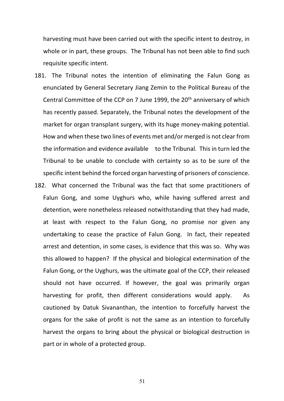harvesting must have been carried out with the specific intent to destroy, in whole or in part, these groups. The Tribunal has not been able to find such requisite specific intent.

- 181. The Tribunal notes the intention of eliminating the Falun Gong as enunciated by General Secretary Jiang Zemin to the Political Bureau of the Central Committee of the CCP on 7 June 1999, the 20<sup>th</sup> anniversary of which has recently passed. Separately, the Tribunal notes the development of the market for organ transplant surgery, with its huge money-making potential. How and when these two lines of events met and/or merged is not clear from the information and evidence available to the Tribunal. This in turn led the Tribunal to be unable to conclude with certainty so as to be sure of the specific intent behind the forced organ harvesting of prisoners of conscience.
- 182. What concerned the Tribunal was the fact that some practitioners of Falun Gong, and some Uyghurs who, while having suffered arrest and detention, were nonetheless released notwithstanding that they had made, at least with respect to the Falun Gong, no promise nor given any undertaking to cease the practice of Falun Gong. In fact, their repeated arrest and detention, in some cases, is evidence that this was so. Why was this allowed to happen? If the physical and biological extermination of the Falun Gong, or the Uyghurs, was the ultimate goal of the CCP, their released should not have occurred. If however, the goal was primarily organ harvesting for profit, then different considerations would apply. As cautioned by Datuk Sivananthan, the intention to forcefully harvest the organs for the sake of profit is not the same as an intention to forcefully harvest the organs to bring about the physical or biological destruction in part or in whole of a protected group.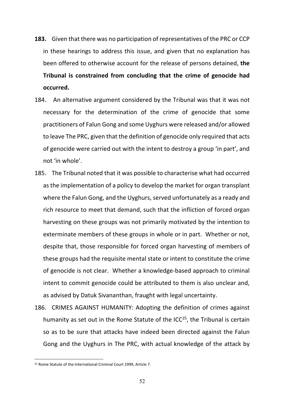- **183.** Given that there was no participation of representatives of the PRC or CCP in these hearings to address this issue, and given that no explanation has been offered to otherwise account for the release of persons detained, **the Tribunal is constrained from concluding that the crime of genocide had occurred.**
- 184. An alternative argument considered by the Tribunal was that it was not necessary for the determination of the crime of genocide that some practitioners of Falun Gong and some Uyghurs were released and/or allowed to leave The PRC, given that the definition of genocide only required that acts of genocide were carried out with the intent to destroy a group 'in part', and not 'in whole'.
- 185. The Tribunal noted that it was possible to characterise what had occurred as the implementation of a policy to develop the market for organ transplant where the Falun Gong, and the Uyghurs, served unfortunately as a ready and rich resource to meet that demand, such that the infliction of forced organ harvesting on these groups was not primarily motivated by the intention to exterminate members of these groups in whole or in part. Whether or not, despite that, those responsible for forced organ harvesting of members of these groups had the requisite mental state or intent to constitute the crime of genocide is not clear. Whether a knowledge-based approach to criminal intent to commit genocide could be attributed to them is also unclear and, as advised by Datuk Sivananthan, fraught with legal uncertainty.
- 186. CRIMES AGAINST HUMANITY: Adopting the definition of crimes against humanity as set out in the Rome Statute of the ICC $^{25}$ , the Tribunal is certain so as to be sure that attacks have indeed been directed against the Falun Gong and the Uyghurs in The PRC, with actual knowledge of the attack by

<sup>25</sup> Rome Statute of the International Criminal Court 1999, Article 7.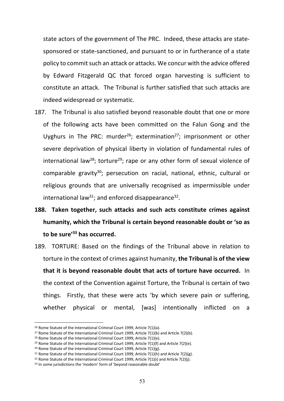state actors of the government of The PRC. Indeed, these attacks are statesponsored or state-sanctioned, and pursuant to or in furtherance of a state policy to commit such an attack or attacks. We concur with the advice offered by Edward Fitzgerald QC that forced organ harvesting is sufficient to constitute an attack. The Tribunal is further satisfied that such attacks are indeed widespread or systematic.

- 187. The Tribunal is also satisfied beyond reasonable doubt that one or more of the following acts have been committed on the Falun Gong and the Uyghurs in The PRC: murder<sup>26</sup>; extermination<sup>27</sup>; imprisonment or other severe deprivation of physical liberty in violation of fundamental rules of international law<sup>28</sup>; torture<sup>29</sup>; rape or any other form of sexual violence of comparable gravity<sup>30</sup>; persecution on racial, national, ethnic, cultural or religious grounds that are universally recognised as impermissible under international law<sup>31</sup>; and enforced disappearance<sup>32</sup>.
- **188. Taken together, such attacks and such acts constitute crimes against humanity, which the Tribunal is certain beyond reasonable doubt or 'so as to be sure' <sup>33</sup> has occurred.**
- 189. TORTURE: Based on the findings of the Tribunal above in relation to torture in the context of crimes against humanity, **the Tribunal is of the view that it is beyond reasonable doubt that acts of torture have occurred.** In the context of the Convention against Torture, the Tribunal is certain of two things. Firstly, that these were acts 'by which severe pain or suffering, whether physical or mental, [was] intentionally inflicted on a

<sup>26</sup> Rome Statute of the International Criminal Court 1999, Article 7(1)(a).

<sup>&</sup>lt;sup>27</sup> Rome Statute of the International Criminal Court 1999, Article 7(1)(b) and Article 7(2)(b).

<sup>&</sup>lt;sup>28</sup> Rome Statute of the International Criminal Court 1999, Article 7(1)(e).

<sup>&</sup>lt;sup>29</sup> Rome Statute of the International Criminal Court 1999, Article 7(1)(f) and Article 7(2)(e).

<sup>30</sup> Rome Statute of the International Criminal Court 1999, Article 7(1)(g).

 $31$  Rome Statute of the International Criminal Court 1999, Article 7(1)(h) and Article 7(2)(g).

<sup>&</sup>lt;sup>32</sup> Rome Statute of the International Criminal Court 1999, Article 7(1)(i) and Article 7(2)(i).

<sup>&</sup>lt;sup>33</sup> In some jurisdictions the 'modern' form of 'beyond reasonable doubt'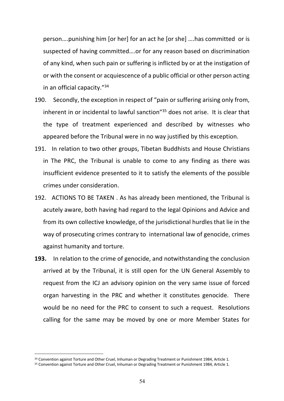person….punishing him [or her] for an act he [or she] ….has committed or is suspected of having committed….or for any reason based on discrimination of any kind, when such pain or suffering is inflicted by or at the instigation of or with the consent or acquiescence of a public official or other person acting in an official capacity."34

- 190. Secondly, the exception in respect of "pain or suffering arising only from, inherent in or incidental to lawful sanction"35 does not arise. It is clear that the type of treatment experienced and described by witnesses who appeared before the Tribunal were in no way justified by this exception.
- 191. In relation to two other groups, Tibetan Buddhists and House Christians in The PRC, the Tribunal is unable to come to any finding as there was insufficient evidence presented to it to satisfy the elements of the possible crimes under consideration.
- 192. ACTIONS TO BE TAKEN . As has already been mentioned, the Tribunal is acutely aware, both having had regard to the legal Opinions and Advice and from its own collective knowledge, of the jurisdictional hurdles that lie in the way of prosecuting crimes contrary to international law of genocide, crimes against humanity and torture.
- **193.** In relation to the crime of genocide, and notwithstanding the conclusion arrived at by the Tribunal, it is still open for the UN General Assembly to request from the ICJ an advisory opinion on the very same issue of forced organ harvesting in the PRC and whether it constitutes genocide. There would be no need for the PRC to consent to such a request. Resolutions calling for the same may be moved by one or more Member States for

<sup>&</sup>lt;sup>34</sup> Convention against Torture and Other Cruel, Inhuman or Degrading Treatment or Punishment 1984, Article 1.

<sup>35</sup> Convention against Torture and Other Cruel, Inhuman or Degrading Treatment or Punishment 1984, Article 1.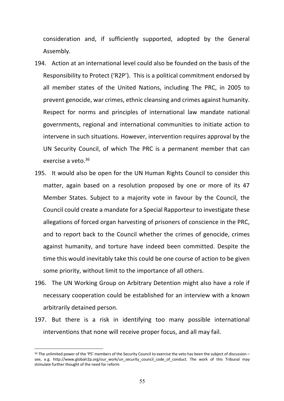consideration and, if sufficiently supported, adopted by the General Assembly.

- 194. Action at an international level could also be founded on the basis of the Responsibility to Protect ('R2P'). This is a political commitment endorsed by all member states of the United Nations, including The PRC, in 2005 to prevent genocide, war crimes, ethnic cleansing and crimes against humanity. Respect for norms and principles of international law mandate national governments, regional and international communities to initiate action to intervene in such situations. However, intervention requires approval by the UN Security Council, of which The PRC is a permanent member that can exercise a veto. 36
- 195. It would also be open for the UN Human Rights Council to consider this matter, again based on a resolution proposed by one or more of its 47 Member States. Subject to a majority vote in favour by the Council, the Council could create a mandate for a Special Rapporteur to investigate these allegations of forced organ harvesting of prisoners of conscience in the PRC, and to report back to the Council whether the crimes of genocide, crimes against humanity, and torture have indeed been committed. Despite the time this would inevitably take this could be one course of action to be given some priority, without limit to the importance of all others.
- 196. The UN Working Group on Arbitrary Detention might also have a role if necessary cooperation could be established for an interview with a known arbitrarily detained person.
- 197. But there is a risk in identifying too many possible international interventions that none will receive proper focus, and all may fail.

<sup>36</sup> The unlimited power of the 'P5' members of the Security Council to exercise the veto has been the subject of discussion see, e.g. http://www.globalr2p.org/our\_work/un\_security\_council\_code\_of\_conduct. The work of this Tribunal may stimulate further thought of the need for reform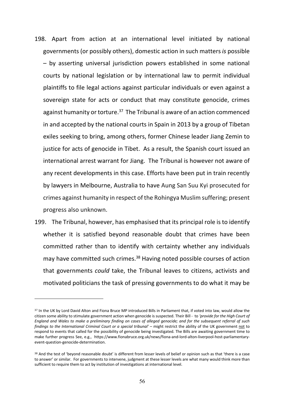- 198. Apart from action at an international level initiated by national governments (or possibly others), domestic action in such matters *is* possible – by asserting universal jurisdiction powers established in some national courts by national legislation or by international law to permit individual plaintiffs to file legal actions against particular individuals or even against a sovereign state for acts or conduct that may constitute genocide, crimes against humanity or torture.<sup>37</sup> The Tribunal is aware of an action commenced in and accepted by the national courts in Spain in 2013 by a group of Tibetan exiles seeking to bring, among others, former Chinese leader Jiang Zemin to justice for acts of genocide in Tibet. As a result, the Spanish court issued an international arrest warrant for Jiang. The Tribunal is however not aware of any recent developments in this case. Efforts have been put in train recently by lawyers in Melbourne, Australia to have Aung San Suu Kyi prosecuted for crimes against humanity in respect of the Rohingya Muslim suffering; present progress also unknown.
- 199. The Tribunal, however, has emphasised that its principal role is to identify whether it is satisfied beyond reasonable doubt that crimes have been committed rather than to identify with certainty whether any individuals may have committed such crimes.<sup>38</sup> Having noted possible courses of action that governments *could* take, the Tribunal leaves to citizens, activists and motivated politicians the task of pressing governments to do what it may be

<sup>&</sup>lt;sup>37</sup> In the UK by Lord David Alton and Fiona Bruce MP introduced Bills in Parliament that, if voted into law, would allow the citizen some ability to stimulate government action when genocide is suspected. Their Bill - to *'provide for the High Court of England and Wales to make a preliminary finding on cases of alleged genocide; and for the subsequent referral of such findings to the International Criminal Court or a special tribunal' –* might restrict the ability of the UK government not to respond to events that called for the possibility of genocide being investigated. The Bills are awaiting government time to make further progress See, e.g., https://www.fionabruce.org.uk/news/fiona-and-lord-alton-liverpool-host-parliamentaryevent-question-genocide-determination.

<sup>38</sup> And the test of 'beyond reasonable doubt' is different from lesser levels of belief or opinion such as that 'there is a case to answer' or similar. For governments to intervene, judgment at these lesser levels are what many would think more than sufficient to require them to act by institution of investigations at international level.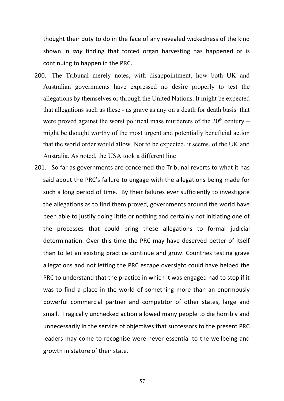thought their duty to do in the face of any revealed wickedness of the kind shown in *any* finding that forced organ harvesting has happened or is continuing to happen in the PRC.

- 200. The Tribunal merely notes, with disappointment, how both UK and Australian governments have expressed no desire properly to test the allegations by themselves or through the United Nations. It might be expected that allegations such as these - as grave as any on a death for death basis that were proved against the worst political mass murderers of the  $20<sup>th</sup>$  century – might be thought worthy of the most urgent and potentially beneficial action that the world order would allow. Not to be expected, it seems, of the UK and Australia. As noted, the USA took a different line
- 201. So far as governments are concerned the Tribunal reverts to what it has said about the PRC's failure to engage with the allegations being made for such a long period of time. By their failures ever sufficiently to investigate the allegations as to find them proved, governments around the world have been able to justify doing little or nothing and certainly not initiating one of the processes that could bring these allegations to formal judicial determination. Over this time the PRC may have deserved better of itself than to let an existing practice continue and grow. Countries testing grave allegations and not letting the PRC escape oversight could have helped the PRC to understand that the practice in which it was engaged had to stop if it was to find a place in the world of something more than an enormously powerful commercial partner and competitor of other states, large and small. Tragically unchecked action allowed many people to die horribly and unnecessarily in the service of objectives that successors to the present PRC leaders may come to recognise were never essential to the wellbeing and growth in stature of their state.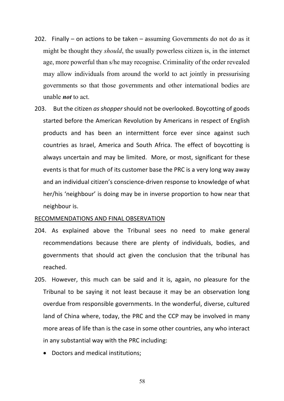- 202. Finally on actions to be taken assuming Governments do not do as it might be thought they *should*, the usually powerless citizen is, in the internet age, more powerful than s/he may recognise. Criminality of the order revealed may allow individuals from around the world to act jointly in pressurising governments so that those governments and other international bodies are unable *not* to act.
- 203. But the citizen *as shopper* should not be overlooked. Boycotting of goods started before the American Revolution by Americans in respect of English products and has been an intermittent force ever since against such countries as Israel, America and South Africa. The effect of boycotting is always uncertain and may be limited. More, or most, significant for these events is that for much of its customer base the PRC is a very long way away and an individual citizen's conscience-driven response to knowledge of what her/his 'neighbour' is doing may be in inverse proportion to how near that neighbour is.

#### RECOMMENDATIONS AND FINAL OBSERVATION

- 204. As explained above the Tribunal sees no need to make general recommendations because there are plenty of individuals, bodies, and governments that should act given the conclusion that the tribunal has reached.
- 205. However, this much can be said and it is, again, no pleasure for the Tribunal to be saying it not least because it may be an observation long overdue from responsible governments. In the wonderful, diverse, cultured land of China where, today, the PRC and the CCP may be involved in many more areas of life than is the case in some other countries, any who interact in any substantial way with the PRC including:
	- Doctors and medical institutions;